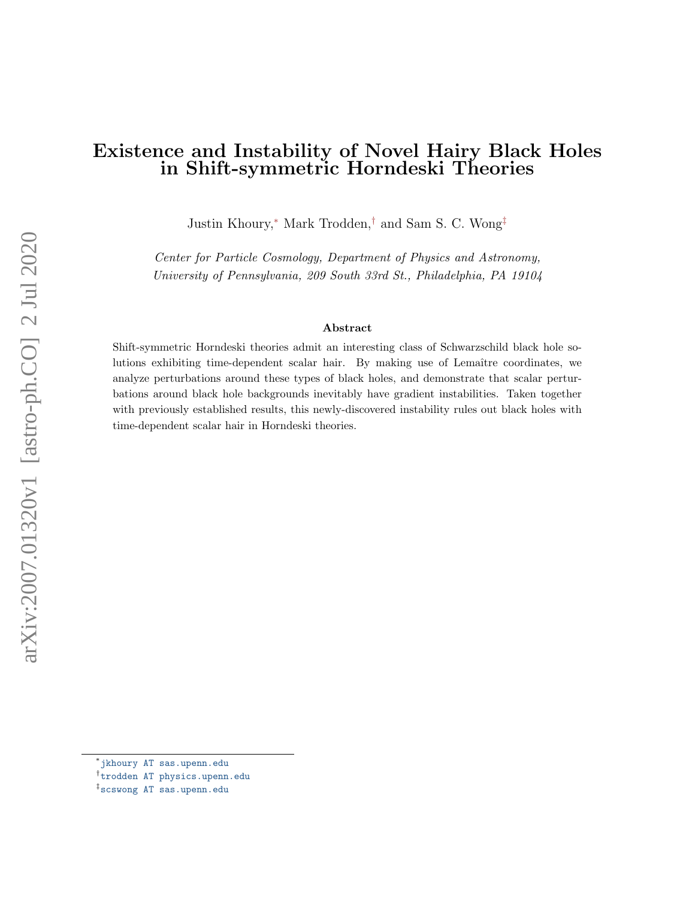# Existence and Instability of Novel Hairy Black Holes in Shift-symmetric Horndeski Theories

Justin Khoury,[∗](#page-0-0) Mark Trodden,[†](#page-0-1) and Sam S. C. Wong[‡](#page-0-2)

Center for Particle Cosmology, Department of Physics and Astronomy, University of Pennsylvania, 209 South 33rd St., Philadelphia, PA 19104

#### Abstract

Shift-symmetric Horndeski theories admit an interesting class of Schwarzschild black hole solutions exhibiting time-dependent scalar hair. By making use of Lemaître coordinates, we analyze perturbations around these types of black holes, and demonstrate that scalar perturbations around black hole backgrounds inevitably have gradient instabilities. Taken together with previously established results, this newly-discovered instability rules out black holes with time-dependent scalar hair in Horndeski theories.

<span id="page-0-0"></span><sup>∗</sup> [jkhoury AT sas.upenn.edu](jkhoury@sas.upenn.edu)

<span id="page-0-1"></span><sup>†</sup> [trodden AT physics.upenn.edu](mailto:trodden@physics.upenn.edu)

<span id="page-0-2"></span><sup>‡</sup> [scswong AT sas.upenn.edu](mailto:scswong@sas.upenn.edu)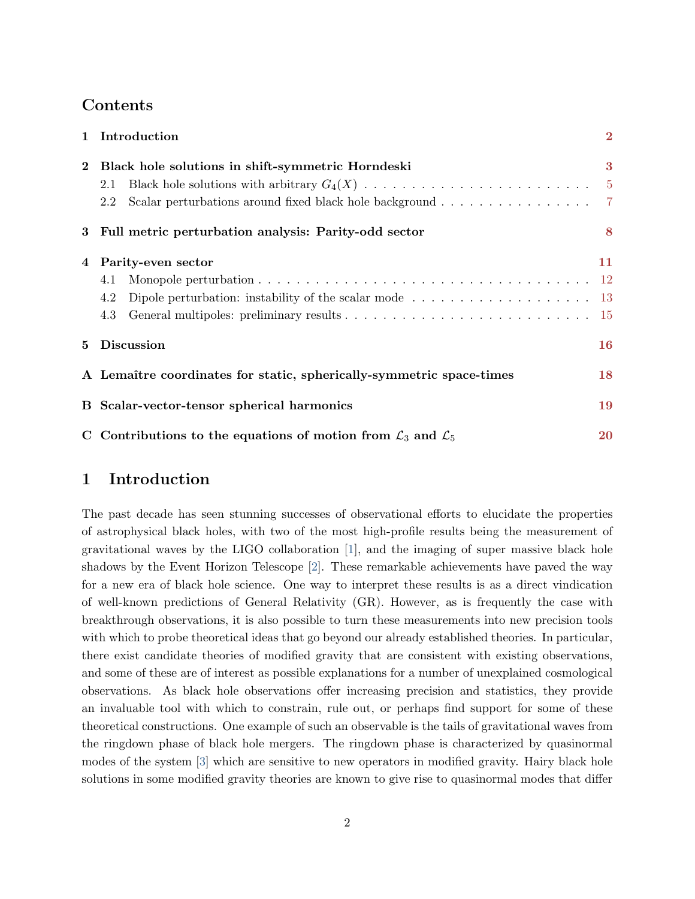## Contents

|                | 1 Introduction                                                                                         | $\overline{2}$ |
|----------------|--------------------------------------------------------------------------------------------------------|----------------|
| $\mathbf{2}$   | Black hole solutions in shift-symmetric Horndeski                                                      | 3              |
|                | 2.1                                                                                                    | $-5$           |
|                | Scalar perturbations around fixed black hole background 7<br>2.2                                       |                |
|                | 3 Full metric perturbation analysis: Parity-odd sector                                                 | 8              |
| $\overline{4}$ | Parity-even sector                                                                                     | 11             |
|                | 4.1                                                                                                    |                |
|                | Dipole perturbation: instability of the scalar mode $\dots \dots \dots \dots \dots \dots \dots$<br>4.2 |                |
|                | 4.3                                                                                                    |                |
| 5              | <b>Discussion</b>                                                                                      | 16             |
|                | A Lemaître coordinates for static, spherically-symmetric space-times                                   | 18             |
|                | B Scalar-vector-tensor spherical harmonics                                                             | 19             |
|                | C Contributions to the equations of motion from $\mathcal{L}_3$ and $\mathcal{L}_5$                    | <b>20</b>      |

## <span id="page-1-0"></span>1 Introduction

The past decade has seen stunning successes of observational efforts to elucidate the properties of astrophysical black holes, with two of the most high-profile results being the measurement of gravitational waves by the LIGO collaboration [\[1\]](#page-20-0), and the imaging of super massive black hole shadows by the Event Horizon Telescope [\[2\]](#page-20-1). These remarkable achievements have paved the way for a new era of black hole science. One way to interpret these results is as a direct vindication of well-known predictions of General Relativity (GR). However, as is frequently the case with breakthrough observations, it is also possible to turn these measurements into new precision tools with which to probe theoretical ideas that go beyond our already established theories. In particular, there exist candidate theories of modified gravity that are consistent with existing observations, and some of these are of interest as possible explanations for a number of unexplained cosmological observations. As black hole observations offer increasing precision and statistics, they provide an invaluable tool with which to constrain, rule out, or perhaps find support for some of these theoretical constructions. One example of such an observable is the tails of gravitational waves from the ringdown phase of black hole mergers. The ringdown phase is characterized by quasinormal modes of the system [\[3\]](#page-20-2) which are sensitive to new operators in modified gravity. Hairy black hole solutions in some modified gravity theories are known to give rise to quasinormal modes that differ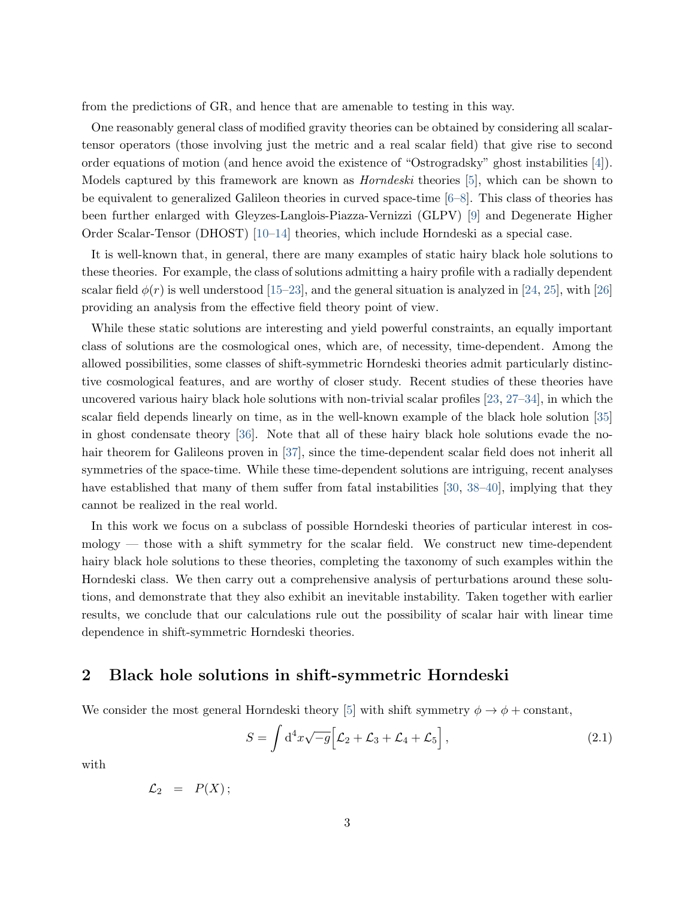from the predictions of GR, and hence that are amenable to testing in this way.

One reasonably general class of modified gravity theories can be obtained by considering all scalartensor operators (those involving just the metric and a real scalar field) that give rise to second order equations of motion (and hence avoid the existence of "Ostrogradsky" ghost instabilities [\[4\]](#page-20-3)). Models captured by this framework are known as Horndeski theories [\[5\]](#page-20-4), which can be shown to be equivalent to generalized Galileon theories in curved space-time [\[6–](#page-20-5)[8\]](#page-20-6). This class of theories has been further enlarged with Gleyzes-Langlois-Piazza-Vernizzi (GLPV) [\[9\]](#page-20-7) and Degenerate Higher Order Scalar-Tensor (DHOST) [\[10–](#page-20-8)[14\]](#page-21-0) theories, which include Horndeski as a special case.

It is well-known that, in general, there are many examples of static hairy black hole solutions to these theories. For example, the class of solutions admitting a hairy profile with a radially dependent scalar field  $\phi(r)$  is well understood [\[15](#page-21-1)[–23\]](#page-21-2), and the general situation is analyzed in [\[24,](#page-21-3) [25\]](#page-22-0), with [\[26\]](#page-22-1) providing an analysis from the effective field theory point of view.

While these static solutions are interesting and yield powerful constraints, an equally important class of solutions are the cosmological ones, which are, of necessity, time-dependent. Among the allowed possibilities, some classes of shift-symmetric Horndeski theories admit particularly distinctive cosmological features, and are worthy of closer study. Recent studies of these theories have uncovered various hairy black hole solutions with non-trivial scalar profiles [\[23,](#page-21-2) [27–](#page-22-2)[34\]](#page-22-3), in which the scalar field depends linearly on time, as in the well-known example of the black hole solution [\[35\]](#page-22-4) in ghost condensate theory [\[36\]](#page-22-5). Note that all of these hairy black hole solutions evade the no-hair theorem for Galileons proven in [\[37\]](#page-22-6), since the time-dependent scalar field does not inherit all symmetries of the space-time. While these time-dependent solutions are intriguing, recent analyses have established that many of them suffer from fatal instabilities [\[30,](#page-22-7) [38–](#page-23-0)[40\]](#page-23-1), implying that they cannot be realized in the real world.

In this work we focus on a subclass of possible Horndeski theories of particular interest in cosmology — those with a shift symmetry for the scalar field. We construct new time-dependent hairy black hole solutions to these theories, completing the taxonomy of such examples within the Horndeski class. We then carry out a comprehensive analysis of perturbations around these solutions, and demonstrate that they also exhibit an inevitable instability. Taken together with earlier results, we conclude that our calculations rule out the possibility of scalar hair with linear time dependence in shift-symmetric Horndeski theories.

### <span id="page-2-0"></span>2 Black hole solutions in shift-symmetric Horndeski

We consider the most general Horndeski theory [\[5\]](#page-20-4) with shift symmetry  $\phi \to \phi + \text{constant}$ ,

<span id="page-2-1"></span>
$$
S = \int d^4x \sqrt{-g} \Big[ \mathcal{L}_2 + \mathcal{L}_3 + \mathcal{L}_4 + \mathcal{L}_5 \Big], \qquad (2.1)
$$

with

<span id="page-2-2"></span>
$$
\mathcal{L}_2 = P(X);
$$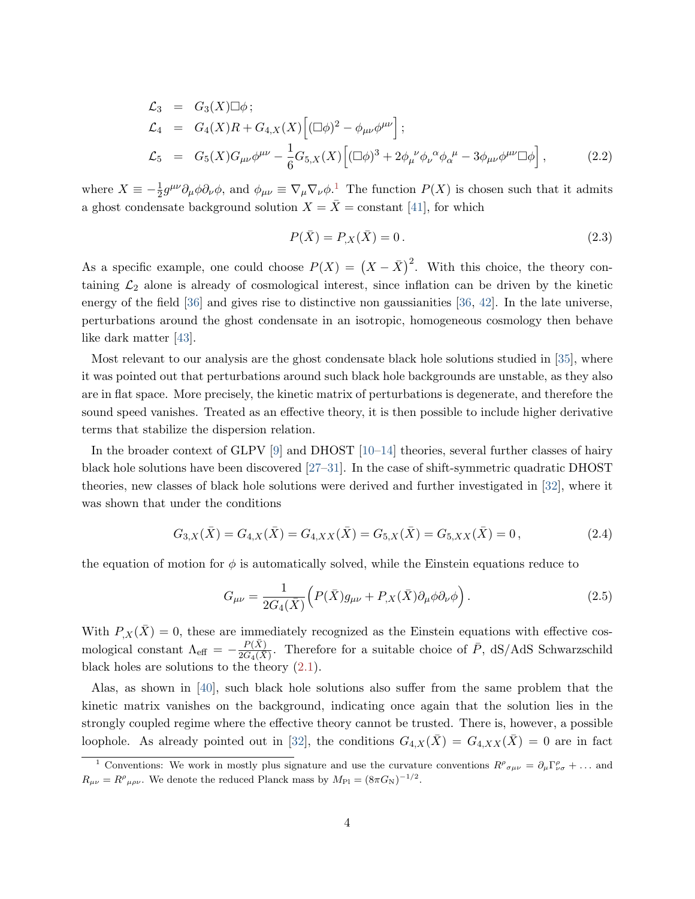$$
\mathcal{L}_{3} = G_{3}(X)\Box\phi ;
$$
\n
$$
\mathcal{L}_{4} = G_{4}(X)R + G_{4,X}(X)\Big[(\Box\phi)^{2} - \phi_{\mu\nu}\phi^{\mu\nu}\Big];
$$
\n
$$
\mathcal{L}_{5} = G_{5}(X)G_{\mu\nu}\phi^{\mu\nu} - \frac{1}{6}G_{5,X}(X)\Big[(\Box\phi)^{3} + 2\phi_{\mu}^{\ \nu}\phi_{\nu}^{\ \alpha}\phi_{\alpha}^{\ \mu} - 3\phi_{\mu\nu}\phi^{\mu\nu}\Box\phi\Big],
$$
\n(2.2)

where  $X \equiv -\frac{1}{2}g^{\mu\nu}\partial_{\mu}\phi\partial_{\nu}\phi$  $X \equiv -\frac{1}{2}g^{\mu\nu}\partial_{\mu}\phi\partial_{\nu}\phi$  $X \equiv -\frac{1}{2}g^{\mu\nu}\partial_{\mu}\phi\partial_{\nu}\phi$ , and  $\phi_{\mu\nu} \equiv \nabla_{\mu}\nabla_{\nu}\phi$ .<sup>1</sup> The function  $P(X)$  is chosen such that it admits a ghost condensate background solution  $X = \overline{X} = constant$  [\[41\]](#page-23-2), for which

$$
P(\bar{X}) = P_{,X}(\bar{X}) = 0.
$$
\n(2.3)

As a specific example, one could choose  $P(X) = (X - \bar{X})^2$ . With this choice, the theory containing  $\mathcal{L}_2$  alone is already of cosmological interest, since inflation can be driven by the kinetic energy of the field [\[36\]](#page-22-5) and gives rise to distinctive non gaussianities [\[36,](#page-22-5) [42\]](#page-23-3). In the late universe, perturbations around the ghost condensate in an isotropic, homogeneous cosmology then behave like dark matter [\[43\]](#page-23-4).

Most relevant to our analysis are the ghost condensate black hole solutions studied in [\[35\]](#page-22-4), where it was pointed out that perturbations around such black hole backgrounds are unstable, as they also are in flat space. More precisely, the kinetic matrix of perturbations is degenerate, and therefore the sound speed vanishes. Treated as an effective theory, it is then possible to include higher derivative terms that stabilize the dispersion relation.

In the broader context of GLPV [\[9\]](#page-20-7) and DHOST [\[10](#page-20-8)[–14\]](#page-21-0) theories, several further classes of hairy black hole solutions have been discovered [\[27](#page-22-2)[–31\]](#page-22-8). In the case of shift-symmetric quadratic DHOST theories, new classes of black hole solutions were derived and further investigated in [\[32\]](#page-22-9), where it was shown that under the conditions

$$
G_{3,X}(\bar{X}) = G_{4,X}(\bar{X}) = G_{4,XX}(\bar{X}) = G_{5,X}(\bar{X}) = G_{5,XX}(\bar{X}) = 0, \qquad (2.4)
$$

the equation of motion for  $\phi$  is automatically solved, while the Einstein equations reduce to

$$
G_{\mu\nu} = \frac{1}{2G_4(\bar{X})} \Big( P(\bar{X}) g_{\mu\nu} + P_{,X}(\bar{X}) \partial_{\mu} \phi \partial_{\nu} \phi \Big) . \tag{2.5}
$$

With  $P_{,X}(\bar{X}) = 0$ , these are immediately recognized as the Einstein equations with effective cosmological constant  $\Lambda_{\text{eff}} = -\frac{P(\bar{X})}{2G_4(\bar{X})}$  $\frac{P(X)}{2G_4(X)}$ . Therefore for a suitable choice of  $\bar{P}$ , dS/AdS Schwarzschild black holes are solutions to the theory [\(2.1\)](#page-2-1).

Alas, as shown in [\[40\]](#page-23-1), such black hole solutions also suffer from the same problem that the kinetic matrix vanishes on the background, indicating once again that the solution lies in the strongly coupled regime where the effective theory cannot be trusted. There is, however, a possible loophole. As already pointed out in [\[32\]](#page-22-9), the conditions  $G_{4,X}(\bar{X}) = G_{4,XX}(\bar{X}) = 0$  are in fact

<span id="page-3-0"></span><sup>&</sup>lt;sup>1</sup> Conventions: We work in mostly plus signature and use the curvature conventions  $R^{\rho}{}_{\sigma\mu\nu} = \partial_{\mu}\Gamma^{\rho}_{\nu\sigma} + \dots$  and  $R_{\mu\nu} = R^{\rho}{}_{\mu\rho\nu}$ . We denote the reduced Planck mass by  $M_{\rm Pl} = (8\pi G_{\rm N})^{-1/2}$ .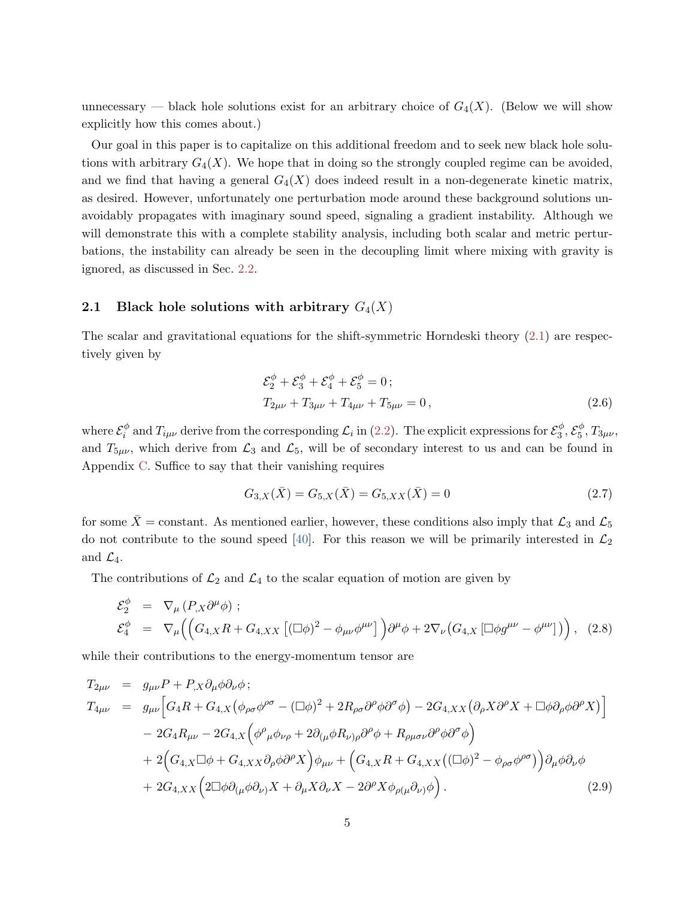unnecessary — black hole solutions exist for an arbitrary choice of  $G_4(X)$ . (Below we will show explicitly how this comes about.)

Our goal in this paper is to capitalize on this additional freedom and to seek new black hole solutions with arbitrary  $G_4(X)$ . We hope that in doing so the strongly coupled regime can be avoided, and we find that having a general  $G_4(X)$  does indeed result in a non-degenerate kinetic matrix, as desired. However, unfortunately one perturbation mode around these background solutions unavoidably propagates with imaginary sound speed, signaling a gradient instability. Although we will demonstrate this with a complete stability analysis, including both scalar and metric perturbations, the instability can already be seen in the decoupling limit where mixing with gravity is ignored, as discussed in Sec. [2.2.](#page-6-0)

#### <span id="page-4-0"></span>2.1 Black hole solutions with arbitrary  $G_4(X)$

The scalar and gravitational equations for the shift-symmetric Horndeski theory  $(2.1)$  are respectively given by

$$
\mathcal{E}_{2}^{\phi} + \mathcal{E}_{3}^{\phi} + \mathcal{E}_{4}^{\phi} + \mathcal{E}_{5}^{\phi} = 0; T_{2\mu\nu} + T_{3\mu\nu} + T_{4\mu\nu} + T_{5\mu\nu} = 0,
$$
\n(2.6)

where  $\mathcal{E}_{i}^{\phi}$  $\frac{\phi}{i}$  and  $T_{i\mu\nu}$  derive from the corresponding  $\mathcal{L}_i$  in [\(2.2\)](#page-2-2). The explicit expressions for  $\mathcal{E}_3^{\phi}$  $\frac{\phi}{3}, \mathcal{E}^{\phi}_5$  $T_5^\varphi, T_{3\mu\nu},$ and  $T_{5\mu\nu}$ , which derive from  $\mathcal{L}_3$  and  $\mathcal{L}_5$ , will be of secondary interest to us and can be found in Appendix [C.](#page-19-0) Suffice to say that their vanishing requires

$$
G_{3,X}(\bar{X}) = G_{5,X}(\bar{X}) = G_{5,XX}(\bar{X}) = 0
$$
\n(2.7)

for some  $\bar{X}$  = constant. As mentioned earlier, however, these conditions also imply that  $\mathcal{L}_3$  and  $\mathcal{L}_5$ do not contribute to the sound speed [\[40\]](#page-23-1). For this reason we will be primarily interested in  $\mathcal{L}_2$ and  $\mathcal{L}_4$ .

The contributions of  $\mathcal{L}_2$  and  $\mathcal{L}_4$  to the scalar equation of motion are given by

<span id="page-4-1"></span>
$$
\mathcal{E}_{2}^{\phi} = \nabla_{\mu} (P_{,X} \partial^{\mu} \phi) ;
$$
\n
$$
\mathcal{E}_{4}^{\phi} = \nabla_{\mu} \left( \left( G_{4,X} R + G_{4,XX} \left[ (\Box \phi)^{2} - \phi_{\mu\nu} \phi^{\mu\nu} \right] \right) \partial^{\mu} \phi + 2 \nabla_{\nu} \left( G_{4,X} \left[ \Box \phi g^{\mu\nu} - \phi^{\mu\nu} \right] \right) \right), \quad (2.8)
$$

while their contributions to the energy-momentum tensor are

<span id="page-4-2"></span>
$$
T_{2\mu\nu} = g_{\mu\nu}P + P_{,X}\partial_{\mu}\phi\partial_{\nu}\phi ;
$$
  
\n
$$
T_{4\mu\nu} = g_{\mu\nu} \Big[ G_4R + G_{4,X} (\phi_{\rho\sigma}\phi^{\rho\sigma} - (\Box\phi)^2 + 2R_{\rho\sigma}\partial^{\rho}\phi\partial^{\sigma}\phi) - 2G_{4,XX} (\partial_{\rho}X\partial^{\rho}X + \Box\phi\partial_{\rho}\phi\partial^{\rho}X) \Big] \n- 2G_4R_{\mu\nu} - 2G_{4,X} (\phi^{\rho}{}_{\mu}\phi_{\nu\rho} + 2\partial_{(\mu}\phi R_{\nu)\rho}\partial^{\rho}\phi + R_{\rho\mu\sigma\nu}\partial^{\rho}\phi\partial^{\sigma}\phi) \n+ 2\Big( G_{4,X} \Box\phi + G_{4,XX}\partial_{\rho}\phi\partial^{\rho}X \Big) \phi_{\mu\nu} + \Big( G_{4,X}R + G_{4,XX} ((\Box\phi)^2 - \phi_{\rho\sigma}\phi^{\rho\sigma}) \Big) \partial_{\mu}\phi\partial_{\nu}\phi \n+ 2G_{4,XX} (2\Box\phi\partial_{(\mu}\phi\partial_{\nu)}X + \partial_{\mu}X\partial_{\nu}X - 2\partial^{\rho}X\phi_{\rho(\mu}\partial_{\nu)}\phi).
$$
\n(2.9)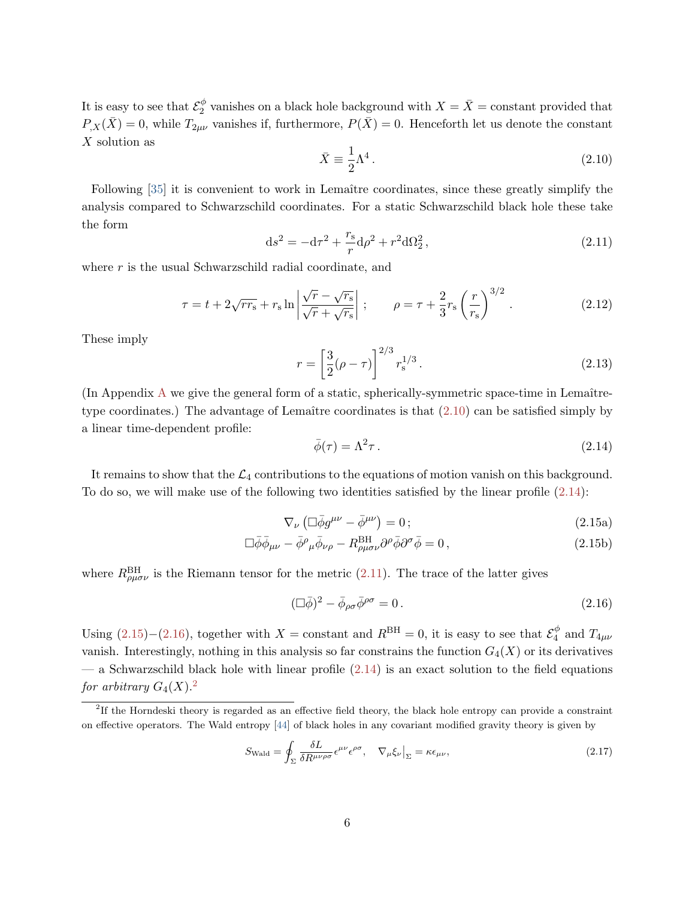It is easy to see that  $\mathcal{E}_2^{\phi}$  $\frac{\phi}{2}$  vanishes on a black hole background with  $X = \overline{X}$  = constant provided that  $P_{,X}(\bar{X})=0$ , while  $T_{2\mu\nu}$  vanishes if, furthermore,  $P(\bar{X})=0$ . Henceforth let us denote the constant X solution as

<span id="page-5-0"></span>
$$
\bar{X} \equiv \frac{1}{2}\Lambda^4. \tag{2.10}
$$

Following [\[35\]](#page-22-4) it is convenient to work in Lemaître coordinates, since these greatly simplify the analysis compared to Schwarzschild coordinates. For a static Schwarzschild black hole these take the form

<span id="page-5-2"></span>
$$
ds^{2} = -d\tau^{2} + \frac{r_{s}}{r}d\rho^{2} + r^{2}d\Omega_{2}^{2},
$$
\n(2.11)

where  $r$  is the usual Schwarzschild radial coordinate, and

$$
\tau = t + 2\sqrt{rr_s} + r_s \ln \left| \frac{\sqrt{r} - \sqrt{r_s}}{\sqrt{r} + \sqrt{r_s}} \right| ; \qquad \rho = \tau + \frac{2}{3}r_s \left(\frac{r}{r_s}\right)^{3/2} . \tag{2.12}
$$

These imply

$$
r = \left[\frac{3}{2}(\rho - \tau)\right]^{2/3} r_s^{1/3}.
$$
 (2.13)

 $($ In [A](#page-17-0)ppendix  $\Lambda$  we give the general form of a static, spherically-symmetric space-time in Lemaîtretype coordinates.) The advantage of Lemaître coordinates is that  $(2.10)$  can be satisfied simply by a linear time-dependent profile:

<span id="page-5-3"></span><span id="page-5-1"></span>
$$
\bar{\phi}(\tau) = \Lambda^2 \tau \,. \tag{2.14}
$$

It remains to show that the  $\mathcal{L}_4$  contributions to the equations of motion vanish on this background. To do so, we will make use of the following two identities satisfied by the linear profile [\(2.14\)](#page-5-1):

$$
\nabla_{\nu} \left( \Box \bar{\phi} g^{\mu \nu} - \bar{\phi}^{\mu \nu} \right) = 0 \, ; \tag{2.15a}
$$

$$
\Box \bar{\phi} \bar{\phi}_{\mu\nu} - \bar{\phi}^{\rho}{}_{\mu} \bar{\phi}_{\nu\rho} - R^{BH}_{\rho\mu\sigma\nu} \partial^{\rho} \bar{\phi} \partial^{\sigma} \bar{\phi} = 0, \qquad (2.15b)
$$

where  $R_{\rho\mu\sigma\nu}^{\text{BH}}$  is the Riemann tensor for the metric [\(2.11\)](#page-5-2). The trace of the latter gives

<span id="page-5-4"></span>
$$
(\Box \bar{\phi})^2 - \bar{\phi}_{\rho\sigma} \bar{\phi}^{\rho\sigma} = 0. \tag{2.16}
$$

Using  $(2.15)-(2.16)$  $(2.15)-(2.16)$  $(2.15)-(2.16)$ , together with  $X = constant$  and  $R^{BH} = 0$ , it is easy to see that  $\mathcal{E}_4^{\phi}$  $q^{\phi}$  and  $T_{4\mu\nu}$ vanish. Interestingly, nothing in this analysis so far constrains the function  $G_4(X)$  or its derivatives  $-$  a Schwarzschild black hole with linear profile  $(2.14)$  is an exact solution to the field equations for arbitrary  $G_4(X)$ .<sup>[2](#page-5-5)</sup>

$$
S_{\text{Wald}} = \oint_{\Sigma} \frac{\delta L}{\delta R^{\mu\nu\rho\sigma}} \epsilon^{\mu\nu} \epsilon^{\rho\sigma}, \quad \nabla_{\mu} \xi_{\nu} \big|_{\Sigma} = \kappa \epsilon_{\mu\nu}, \tag{2.17}
$$

<span id="page-5-5"></span><sup>2</sup> If the Horndeski theory is regarded as an effective field theory, the black hole entropy can provide a constraint on effective operators. The Wald entropy [\[44\]](#page-23-5) of black holes in any covariant modified gravity theory is given by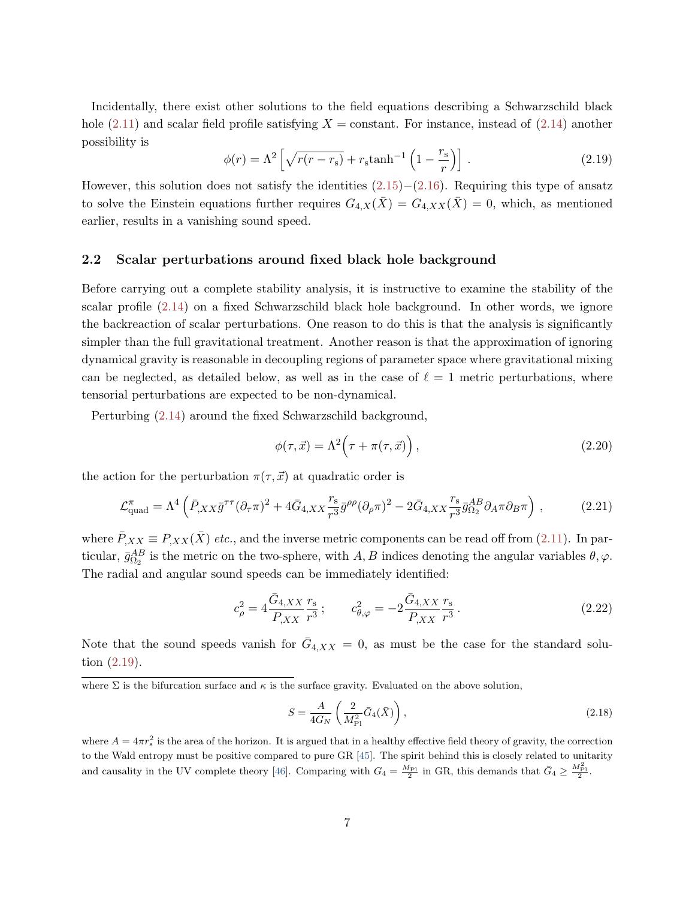Incidentally, there exist other solutions to the field equations describing a Schwarzschild black hole  $(2.11)$  and scalar field profile satisfying  $X = constant$ . For instance, instead of  $(2.14)$  another possibility is

<span id="page-6-1"></span>
$$
\phi(r) = \Lambda^2 \left[ \sqrt{r(r - r_s)} + r_s \tanh^{-1} \left( 1 - \frac{r_s}{r} \right) \right]. \tag{2.19}
$$

However, this solution does not satisfy the identities  $(2.15)–(2.16)$  $(2.15)–(2.16)$  $(2.15)–(2.16)$ . Requiring this type of ansatz to solve the Einstein equations further requires  $G_{4,X}(\bar{X}) = G_{4,XX}(\bar{X}) = 0$ , which, as mentioned earlier, results in a vanishing sound speed.

#### <span id="page-6-0"></span>2.2 Scalar perturbations around fixed black hole background

Before carrying out a complete stability analysis, it is instructive to examine the stability of the scalar profile [\(2.14\)](#page-5-1) on a fixed Schwarzschild black hole background. In other words, we ignore the backreaction of scalar perturbations. One reason to do this is that the analysis is significantly simpler than the full gravitational treatment. Another reason is that the approximation of ignoring dynamical gravity is reasonable in decoupling regions of parameter space where gravitational mixing can be neglected, as detailed below, as well as in the case of  $\ell = 1$  metric perturbations, where tensorial perturbations are expected to be non-dynamical.

Perturbing [\(2.14\)](#page-5-1) around the fixed Schwarzschild background,

$$
\phi(\tau, \vec{x}) = \Lambda^2 \Big(\tau + \pi(\tau, \vec{x})\Big),\tag{2.20}
$$

the action for the perturbation  $\pi(\tau, \vec{x})$  at quadratic order is

$$
\mathcal{L}_{\text{quad}}^{\pi} = \Lambda^4 \left( \bar{P}_{,XX} \bar{g}^{\tau\tau} (\partial_{\tau} \pi)^2 + 4 \bar{G}_{4,XX} \frac{r_s}{r^3} \bar{g}^{\rho\rho} (\partial_{\rho} \pi)^2 - 2 \bar{G}_{4,XX} \frac{r_s}{r^3} \bar{g}_{\Omega_2}^{AB} \partial_A \pi \partial_B \pi \right) , \tag{2.21}
$$

where  $\bar{P}_{,XX} \equiv P_{,XX}(\bar{X})$  etc., and the inverse metric components can be read off from [\(2.11\)](#page-5-2). In particular,  $\bar{g}_{\Omega_2}^{AB}$  is the metric on the two-sphere, with  $A, B$  indices denoting the angular variables  $\theta, \varphi$ . The radial and angular sound speeds can be immediately identified:

<span id="page-6-2"></span>
$$
c_{\rho}^{2} = 4 \frac{\bar{G}_{4,XX}}{P_{,XX}} \frac{r_{\rm s}}{r^{3}} \, ; \qquad c_{\theta,\varphi}^{2} = -2 \frac{\bar{G}_{4,XX}}{P_{,XX}} \frac{r_{\rm s}}{r^{3}} \, . \tag{2.22}
$$

Note that the sound speeds vanish for  $\bar{G}_{4,XX} = 0$ , as must be the case for the standard solution [\(2.19\)](#page-6-1).

$$
S = \frac{A}{4G_N} \left( \frac{2}{M_{\rm Pl}^2} \bar{G}_4(\bar{X}) \right),\tag{2.18}
$$

where  $A = 4\pi r_s^2$  is the area of the horizon. It is argued that in a healthy effective field theory of gravity, the correction to the Wald entropy must be positive compared to pure GR [\[45\]](#page-23-6). The spirit behind this is closely related to unitarity and causality in the UV complete theory [\[46\]](#page-23-7). Comparing with  $G_4 = \frac{M_{\text{Pl}}}{2}$  in GR, this demands that  $\bar{G}_4 \geq \frac{M_{\text{Pl}}^2}{2}$ .

where  $\Sigma$  is the bifurcation surface and  $\kappa$  is the surface gravity. Evaluated on the above solution,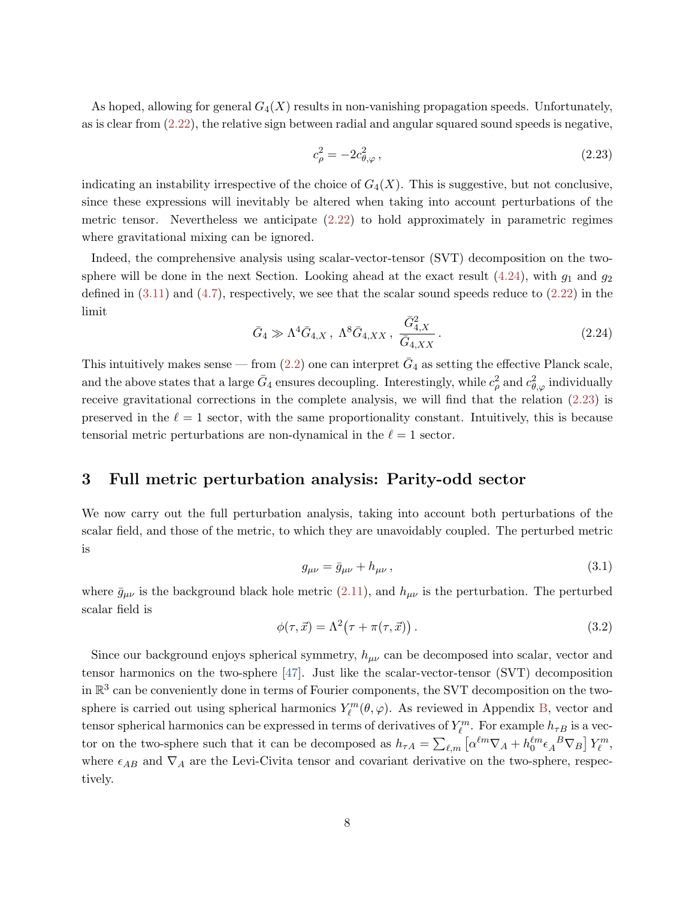As hoped, allowing for general  $G_4(X)$  results in non-vanishing propagation speeds. Unfortunately, as is clear from [\(2.22\)](#page-6-2), the relative sign between radial and angular squared sound speeds is negative,

<span id="page-7-1"></span>
$$
c_{\rho}^2 = -2c_{\theta,\varphi}^2\,,\tag{2.23}
$$

indicating an instability irrespective of the choice of  $G_4(X)$ . This is suggestive, but not conclusive, since these expressions will inevitably be altered when taking into account perturbations of the metric tensor. Nevertheless we anticipate  $(2.22)$  to hold approximately in parametric regimes where gravitational mixing can be ignored.

Indeed, the comprehensive analysis using scalar-vector-tensor (SVT) decomposition on the twosphere will be done in the next Section. Looking ahead at the exact result  $(4.24)$ , with  $g_1$  and  $g_2$ defined in  $(3.11)$  and  $(4.7)$ , respectively, we see that the scalar sound speeds reduce to  $(2.22)$  in the limit

$$
\bar{G}_4 \gg \Lambda^4 \bar{G}_{4,X} \,, \ \Lambda^8 \bar{G}_{4,XX} \,, \ \frac{\bar{G}_{4,X}^2}{\bar{G}_{4,XX}} \,. \tag{2.24}
$$

This intuitively makes sense — from  $(2.2)$  one can interpret  $\bar{G}_4$  as setting the effective Planck scale, and the above states that a large  $\bar{G}_4$  ensures decoupling. Interestingly, while  $c_\rho^2$  and  $c_{\theta,\varphi}^2$  individually receive gravitational corrections in the complete analysis, we will find that the relation [\(2.23\)](#page-7-1) is preserved in the  $\ell = 1$  sector, with the same proportionality constant. Intuitively, this is because tensorial metric perturbations are non-dynamical in the  $\ell = 1$  sector.

## <span id="page-7-0"></span>3 Full metric perturbation analysis: Parity-odd sector

We now carry out the full perturbation analysis, taking into account both perturbations of the scalar field, and those of the metric, to which they are unavoidably coupled. The perturbed metric is

$$
g_{\mu\nu} = \bar{g}_{\mu\nu} + h_{\mu\nu} \,, \tag{3.1}
$$

where  $\bar{g}_{\mu\nu}$  is the background black hole metric [\(2.11\)](#page-5-2), and  $h_{\mu\nu}$  is the perturbation. The perturbed scalar field is

<span id="page-7-2"></span>
$$
\phi(\tau, \vec{x}) = \Lambda^2(\tau + \pi(\tau, \vec{x})). \tag{3.2}
$$

Since our background enjoys spherical symmetry,  $h_{\mu\nu}$  can be decomposed into scalar, vector and tensor harmonics on the two-sphere [\[47\]](#page-23-8). Just like the scalar-vector-tensor (SVT) decomposition in  $\mathbb{R}^3$  can be conveniently done in terms of Fourier components, the SVT decomposition on the twosphere is carried out using spherical harmonics  $Y_{\ell}^{m}(\theta,\varphi)$ . As reviewed in Appendix [B,](#page-18-0) vector and tensor spherical harmonics can be expressed in terms of derivatives of  $Y_{\ell}^{m}$ . For example  $h_{\tau B}$  is a vector on the two-sphere such that it can be decomposed as  $h_{\tau A} = \sum_{\ell,m} \left[ \alpha^{\ell m} \nabla_A + h_0^{\ell m} \epsilon_A^{\ \ B} \nabla_B \right] Y_\ell^m$ , where  $\epsilon_{AB}$  and  $\nabla_A$  are the Levi-Civita tensor and covariant derivative on the two-sphere, respectively.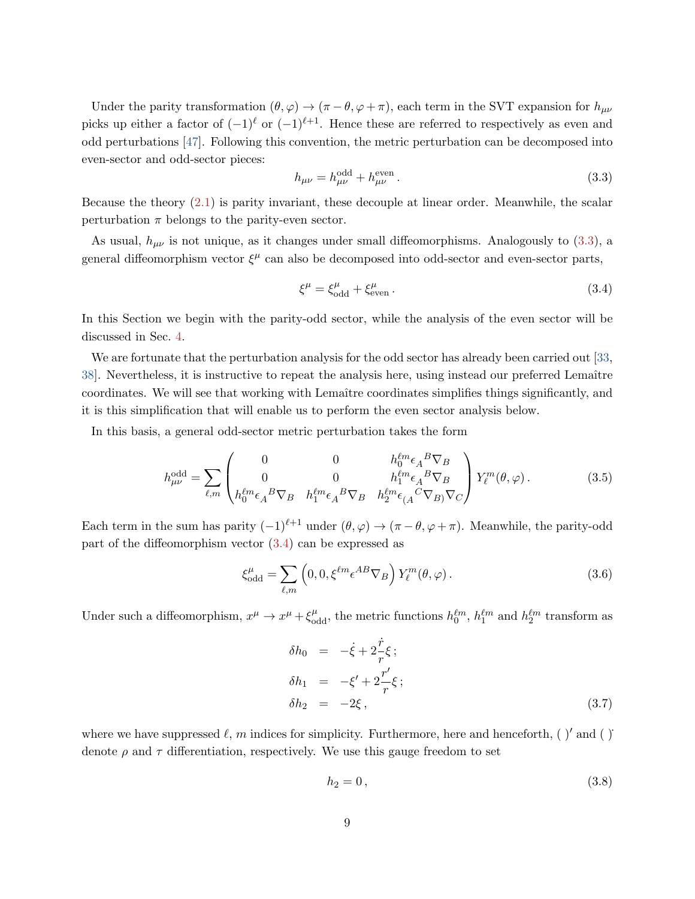Under the parity transformation  $(\theta, \varphi) \to (\pi - \theta, \varphi + \pi)$ , each term in the SVT expansion for  $h_{\mu\nu}$ picks up either a factor of  $(-1)^{\ell}$  or  $(-1)^{\ell+1}$ . Hence these are referred to respectively as even and odd perturbations [\[47\]](#page-23-8). Following this convention, the metric perturbation can be decomposed into even-sector and odd-sector pieces:

<span id="page-8-0"></span>
$$
h_{\mu\nu} = h_{\mu\nu}^{\text{odd}} + h_{\mu\nu}^{\text{even}}.
$$
\n(3.3)

Because the theory [\(2.1\)](#page-2-1) is parity invariant, these decouple at linear order. Meanwhile, the scalar perturbation  $\pi$  belongs to the parity-even sector.

As usual,  $h_{\mu\nu}$  is not unique, as it changes under small diffeomorphisms. Analogously to [\(3.3\)](#page-8-0), a general diffeomorphism vector  $\xi^{\mu}$  can also be decomposed into odd-sector and even-sector parts,

<span id="page-8-1"></span>
$$
\xi^{\mu} = \xi_{\text{odd}}^{\mu} + \xi_{\text{even}}^{\mu} \,. \tag{3.4}
$$

In this Section we begin with the parity-odd sector, while the analysis of the even sector will be discussed in Sec. [4.](#page-10-0)

We are fortunate that the perturbation analysis for the odd sector has already been carried out [\[33,](#page-22-10) [38\]](#page-23-0). Nevertheless, it is instructive to repeat the analysis here, using instead our preferred Lemaître coordinates. We will see that working with Lemaître coordinates simplifies things significantly, and it is this simplification that will enable us to perform the even sector analysis below.

In this basis, a general odd-sector metric perturbation takes the form

<span id="page-8-3"></span>
$$
h_{\mu\nu}^{\text{odd}} = \sum_{\ell,m} \begin{pmatrix} 0 & 0 & h_0^{\ell m} \epsilon_A^B \nabla_B \\ 0 & 0 & h_1^{\ell m} \epsilon_A^B \nabla_B \\ h_0^{\ell m} \epsilon_A^B \nabla_B & h_1^{\ell m} \epsilon_A^B \nabla_B & h_2^{\ell m} \epsilon_{(A}^C \nabla_B) \nabla_C \end{pmatrix} Y_\ell^m(\theta,\varphi). \tag{3.5}
$$

Each term in the sum has parity  $(-1)^{\ell+1}$  under  $(\theta, \varphi) \to (\pi - \theta, \varphi + \pi)$ . Meanwhile, the parity-odd part of the diffeomorphism vector [\(3.4\)](#page-8-1) can be expressed as

$$
\xi_{\text{odd}}^{\mu} = \sum_{\ell,m} \left( 0, 0, \xi^{\ell m} \epsilon^{AB} \nabla_B \right) Y_{\ell}^{m}(\theta, \varphi).
$$
 (3.6)

Under such a diffeomorphism,  $x^{\mu} \to x^{\mu} + \xi_{odd}^{\mu}$ , the metric functions  $h_0^{\ell m}$ ,  $h_1^{\ell m}$  and  $h_2^{\ell m}$  transform as

<span id="page-8-2"></span>
$$
\delta h_0 = -\dot{\xi} + 2\frac{\dot{r}}{r}\xi ;
$$
  
\n
$$
\delta h_1 = -\xi' + 2\frac{r'}{r}\xi ;
$$
  
\n
$$
\delta h_2 = -2\xi ,
$$
\n(3.7)

where we have suppressed  $\ell$ , m indices for simplicity. Furthermore, here and henceforth, ( )' and ( ) denote  $\rho$  and  $\tau$  differentiation, respectively. We use this gauge freedom to set

$$
h_2 = 0, \tag{3.8}
$$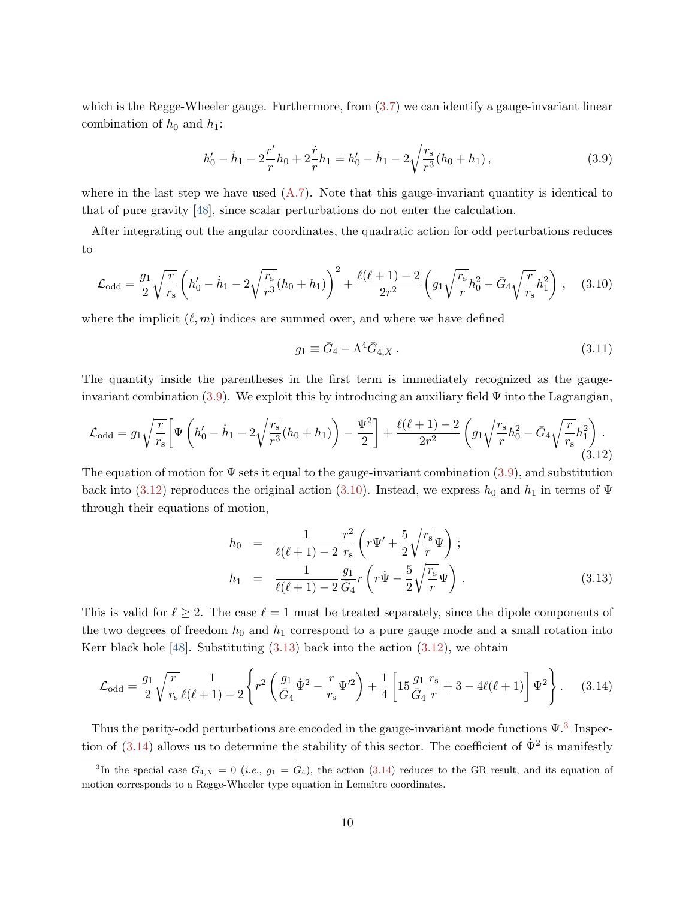which is the Regge-Wheeler gauge. Furthermore, from  $(3.7)$  we can identify a gauge-invariant linear combination of  $h_0$  and  $h_1$ :

<span id="page-9-1"></span>
$$
h'_0 - \dot{h}_1 - 2\frac{r'}{r}h_0 + 2\frac{\dot{r}}{r}h_1 = h'_0 - \dot{h}_1 - 2\sqrt{\frac{r_s}{r^3}}(h_0 + h_1),\tag{3.9}
$$

where in the last step we have used  $(A.7)$ . Note that this gauge-invariant quantity is identical to that of pure gravity [\[48\]](#page-23-9), since scalar perturbations do not enter the calculation.

After integrating out the angular coordinates, the quadratic action for odd perturbations reduces to

<span id="page-9-3"></span>
$$
\mathcal{L}_{\text{odd}} = \frac{g_1}{2} \sqrt{\frac{r}{r_s}} \left( h_0' - \dot{h}_1 - 2 \sqrt{\frac{r_s}{r^3}} (h_0 + h_1) \right)^2 + \frac{\ell(\ell+1) - 2}{2r^2} \left( g_1 \sqrt{\frac{r_s}{r}} h_0^2 - \bar{G}_4 \sqrt{\frac{r}{r_s}} h_1^2 \right) , \quad (3.10)
$$

where the implicit  $(\ell, m)$  indices are summed over, and where we have defined

<span id="page-9-0"></span>
$$
g_1 \equiv \bar{G}_4 - \Lambda^4 \bar{G}_{4,X} \,. \tag{3.11}
$$

The quantity inside the parentheses in the first term is immediately recognized as the gaugeinvariant combination  $(3.9)$ . We exploit this by introducing an auxiliary field  $\Psi$  into the Lagrangian,

<span id="page-9-2"></span>
$$
\mathcal{L}_{\text{odd}} = g_1 \sqrt{\frac{r}{r_s}} \bigg[ \Psi \left( h_0' - \dot{h}_1 - 2 \sqrt{\frac{r_s}{r^3}} (h_0 + h_1) \right) - \frac{\Psi^2}{2} \bigg] + \frac{\ell(\ell+1) - 2}{2r^2} \left( g_1 \sqrt{\frac{r_s}{r}} h_0^2 - \bar{G}_4 \sqrt{\frac{r}{r_s}} h_1^2 \right). \tag{3.12}
$$

The equation of motion for  $\Psi$  sets it equal to the gauge-invariant combination [\(3.9\)](#page-9-1), and substitution back into [\(3.12\)](#page-9-2) reproduces the original action [\(3.10\)](#page-9-3). Instead, we express  $h_0$  and  $h_1$  in terms of  $\Psi$ through their equations of motion,

<span id="page-9-4"></span>
$$
h_0 = \frac{1}{\ell(\ell+1) - 2} \frac{r^2}{r_s} \left( r\Psi' + \frac{5}{2} \sqrt{\frac{r_s}{r}} \Psi \right);
$$
  
\n
$$
h_1 = \frac{1}{\ell(\ell+1) - 2} \frac{g_1}{\bar{G}_4} r \left( r\Psi - \frac{5}{2} \sqrt{\frac{r_s}{r}} \Psi \right).
$$
\n(3.13)

This is valid for  $\ell \geq 2$ . The case  $\ell = 1$  must be treated separately, since the dipole components of the two degrees of freedom  $h_0$  and  $h_1$  correspond to a pure gauge mode and a small rotation into Kerr black hole [\[48\]](#page-23-9). Substituting  $(3.13)$  back into the action  $(3.12)$ , we obtain

<span id="page-9-6"></span>
$$
\mathcal{L}_{\text{odd}} = \frac{g_1}{2} \sqrt{\frac{r}{r_s}} \frac{1}{\ell(\ell+1) - 2} \left\{ r^2 \left( \frac{g_1}{\bar{G}_4} \dot{\Psi}^2 - \frac{r}{r_s} {\Psi'}^2 \right) + \frac{1}{4} \left[ 15 \frac{g_1}{\bar{G}_4} \frac{r_s}{r} + 3 - 4\ell(\ell+1) \right] {\Psi}^2 \right\}.
$$
 (3.14)

Thus the parity-odd perturbations are encoded in the gauge-invariant mode functions  $\Psi$ .<sup>[3](#page-9-5)</sup> Inspec-tion of [\(3.14\)](#page-9-6) allows us to determine the stability of this sector. The coefficient of  $\dot{\Psi}^2$  is manifestly

<span id="page-9-5"></span><sup>&</sup>lt;sup>3</sup>In the special case  $G_{4,X} = 0$  (*i.e.*,  $g_1 = G_4$ ), the action [\(3.14\)](#page-9-6) reduces to the GR result, and its equation of motion corresponds to a Regge-Wheeler type equation in Lemaître coordinates.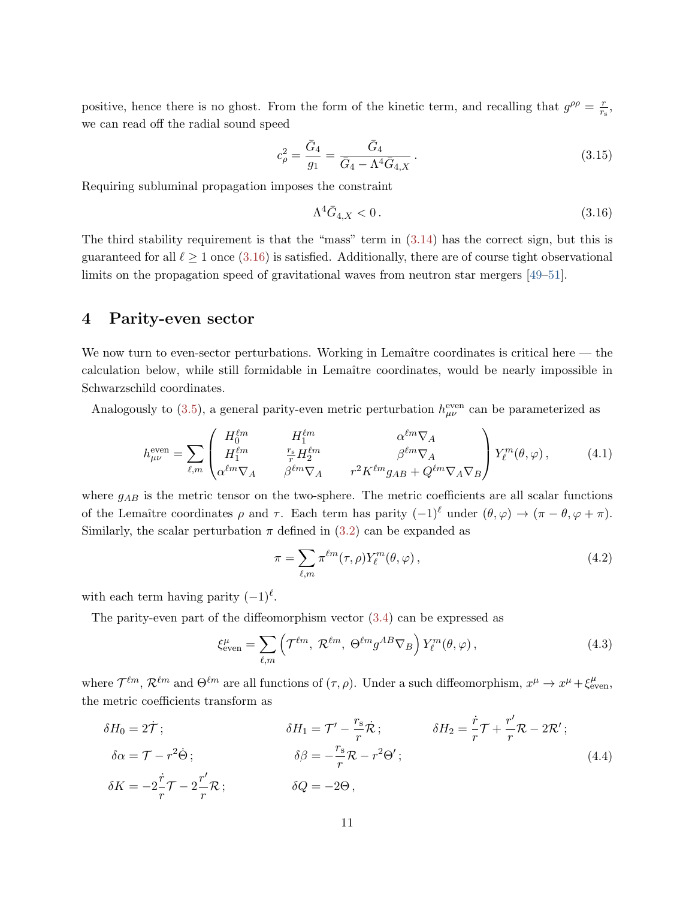positive, hence there is no ghost. From the form of the kinetic term, and recalling that  $g^{\rho\rho} = \frac{r}{r}$  $\frac{r}{r_{\rm s}},$ we can read off the radial sound speed

$$
c_{\rho}^{2} = \frac{\bar{G}_{4}}{g_{1}} = \frac{\bar{G}_{4}}{\bar{G}_{4} - \Lambda^{4} \bar{G}_{4,X}}.
$$
\n(3.15)

Requiring subluminal propagation imposes the constraint

<span id="page-10-1"></span>
$$
\Lambda^4 \bar{G}_{4,X} < 0. \tag{3.16}
$$

The third stability requirement is that the "mass" term in [\(3.14\)](#page-9-6) has the correct sign, but this is guaranteed for all  $\ell \ge 1$  once [\(3.16\)](#page-10-1) is satisfied. Additionally, there are of course tight observational limits on the propagation speed of gravitational waves from neutron star mergers [\[49–](#page-23-10)[51\]](#page-24-0).

### <span id="page-10-0"></span>4 Parity-even sector

We now turn to even-sector perturbations. Working in Lemaître coordinates is critical here  $-$  the calculation below, while still formidable in Lemaître coordinates, would be nearly impossible in Schwarzschild coordinates.

Analogously to [\(3.5\)](#page-8-3), a general parity-even metric perturbation  $h_{\mu\nu}^{\text{even}}$  can be parameterized as

$$
h_{\mu\nu}^{\text{even}} = \sum_{\ell,m} \begin{pmatrix} H_0^{\ell m} & H_1^{\ell m} & \alpha^{\ell m} \nabla_A \\ H_1^{\ell m} & \frac{r_s}{r} H_2^{\ell m} & \beta^{\ell m} \nabla_A \\ \alpha^{\ell m} \nabla_A & \beta^{\ell m} \nabla_A & r^2 K^{\ell m} g_{AB} + Q^{\ell m} \nabla_A \nabla_B \end{pmatrix} Y_\ell^m(\theta, \varphi), \tag{4.1}
$$

where  $g_{AB}$  is the metric tensor on the two-sphere. The metric coefficients are all scalar functions of the Lemaître coordinates  $\rho$  and  $\tau$ . Each term has parity  $(-1)^{\ell}$  under  $(\theta, \varphi) \to (\pi - \theta, \varphi + \pi)$ . Similarly, the scalar perturbation  $\pi$  defined in [\(3.2\)](#page-7-2) can be expanded as

$$
\pi = \sum_{\ell,m} \pi^{\ell m}(\tau,\rho) Y_{\ell}^{m}(\theta,\varphi) , \qquad (4.2)
$$

with each term having parity  $(-1)^{\ell}$ .

The parity-even part of the diffeomorphism vector  $(3.4)$  can be expressed as

$$
\xi_{\text{even}}^{\mu} = \sum_{\ell,m} \left( \mathcal{T}^{\ell m}, \ \mathcal{R}^{\ell m}, \ \Theta^{\ell m} g^{AB} \nabla_B \right) Y_{\ell}^{m}(\theta, \varphi) \,, \tag{4.3}
$$

where  $\mathcal{T}^{\ell m}$ ,  $\mathcal{R}^{\ell m}$  and  $\Theta^{\ell m}$  are all functions of  $(\tau, \rho)$ . Under a such diffeomorphism,  $x^{\mu} \to x^{\mu} + \xi_{\text{even}}^{\mu}$ , the metric coefficients transform as

$$
\delta H_0 = 2\dot{\mathcal{T}}; \qquad \delta H_1 = \mathcal{T}' - \frac{r_s}{r}\dot{\mathcal{R}}; \qquad \delta H_2 = \frac{\dot{r}}{r}\mathcal{T} + \frac{r'}{r}\mathcal{R} - 2\mathcal{R}'; \n\delta \alpha = \mathcal{T} - r^2 \dot{\Theta}; \qquad \delta \beta = -\frac{r_s}{r}\mathcal{R} - r^2\Theta'; \n\delta K = -2\frac{\dot{r}}{r}\mathcal{T} - 2\frac{r'}{r}\mathcal{R}; \qquad \delta Q = -2\Theta,
$$
\n(4.4)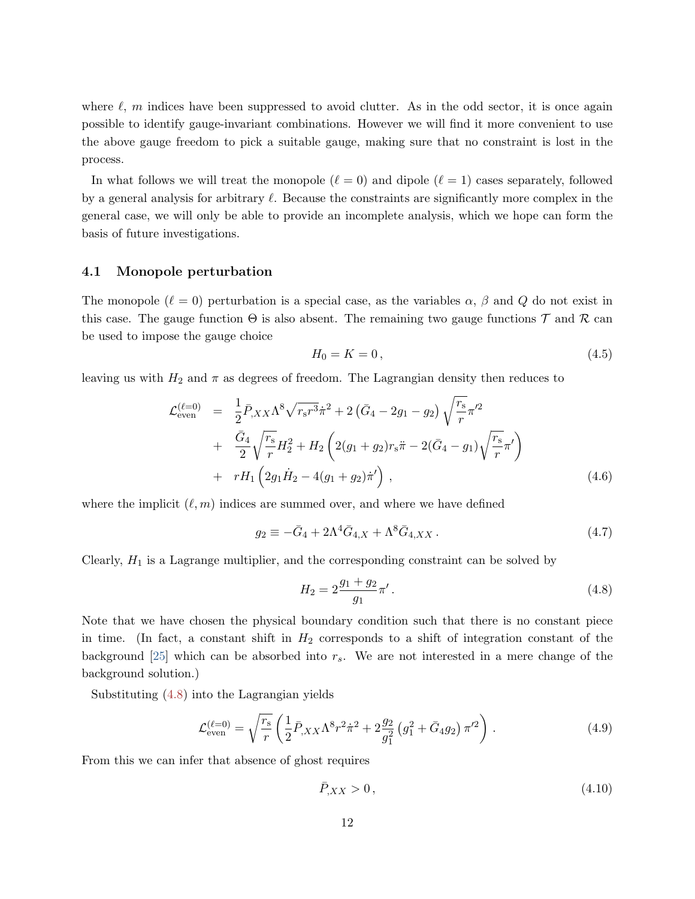where  $\ell$ , m indices have been suppressed to avoid clutter. As in the odd sector, it is once again possible to identify gauge-invariant combinations. However we will find it more convenient to use the above gauge freedom to pick a suitable gauge, making sure that no constraint is lost in the process.

In what follows we will treat the monopole  $(\ell = 0)$  and dipole  $(\ell = 1)$  cases separately, followed by a general analysis for arbitrary  $\ell$ . Because the constraints are significantly more complex in the general case, we will only be able to provide an incomplete analysis, which we hope can form the basis of future investigations.

#### <span id="page-11-0"></span>4.1 Monopole perturbation

The monopole  $(\ell = 0)$  perturbation is a special case, as the variables  $\alpha$ ,  $\beta$  and  $Q$  do not exist in this case. The gauge function  $\Theta$  is also absent. The remaining two gauge functions  $\mathcal T$  and  $\mathcal R$  can be used to impose the gauge choice

$$
H_0 = K = 0, \t\t(4.5)
$$

leaving us with  $H_2$  and  $\pi$  as degrees of freedom. The Lagrangian density then reduces to

<span id="page-11-4"></span>
$$
\mathcal{L}_{\text{even}}^{(\ell=0)} = \frac{1}{2} \bar{P}_{,XX} \Lambda^8 \sqrt{r_s r^3} \dot{\pi}^2 + 2 (\bar{G}_4 - 2g_1 - g_2) \sqrt{\frac{r_s}{r}} \pi'^2 \n+ \frac{\bar{G}_4}{2} \sqrt{\frac{r_s}{r}} H_2^2 + H_2 \left( 2(g_1 + g_2) r_s \ddot{\pi} - 2(\bar{G}_4 - g_1) \sqrt{\frac{r_s}{r}} \pi' \right) \n+ r H_1 \left( 2g_1 \dot{H}_2 - 4(g_1 + g_2) \dot{\pi}' \right),
$$
\n(4.6)

where the implicit  $(\ell, m)$  indices are summed over, and where we have defined

<span id="page-11-1"></span>
$$
g_2 \equiv -\bar{G}_4 + 2\Lambda^4 \bar{G}_{4,X} + \Lambda^8 \bar{G}_{4,XX} \,. \tag{4.7}
$$

Clearly,  $H_1$  is a Lagrange multiplier, and the corresponding constraint can be solved by

<span id="page-11-2"></span>
$$
H_2 = 2\frac{g_1 + g_2}{g_1}\pi'.
$$
\n(4.8)

Note that we have chosen the physical boundary condition such that there is no constant piece in time. (In fact, a constant shift in  $H_2$  corresponds to a shift of integration constant of the background [\[25\]](#page-22-0) which can be absorbed into  $r_s$ . We are not interested in a mere change of the background solution.)

Substituting [\(4.8\)](#page-11-2) into the Lagrangian yields

$$
\mathcal{L}_{\text{even}}^{(\ell=0)} = \sqrt{\frac{r_{\rm s}}{r}} \left( \frac{1}{2} \bar{P}_{,XX} \Lambda^8 r^2 \dot{\pi}^2 + 2 \frac{g_2}{g_1^2} \left( g_1^2 + \bar{G}_4 g_2 \right) \pi'^2 \right) . \tag{4.9}
$$

From this we can infer that absence of ghost requires

<span id="page-11-3"></span>
$$
\bar{P}_{,XX} > 0, \tag{4.10}
$$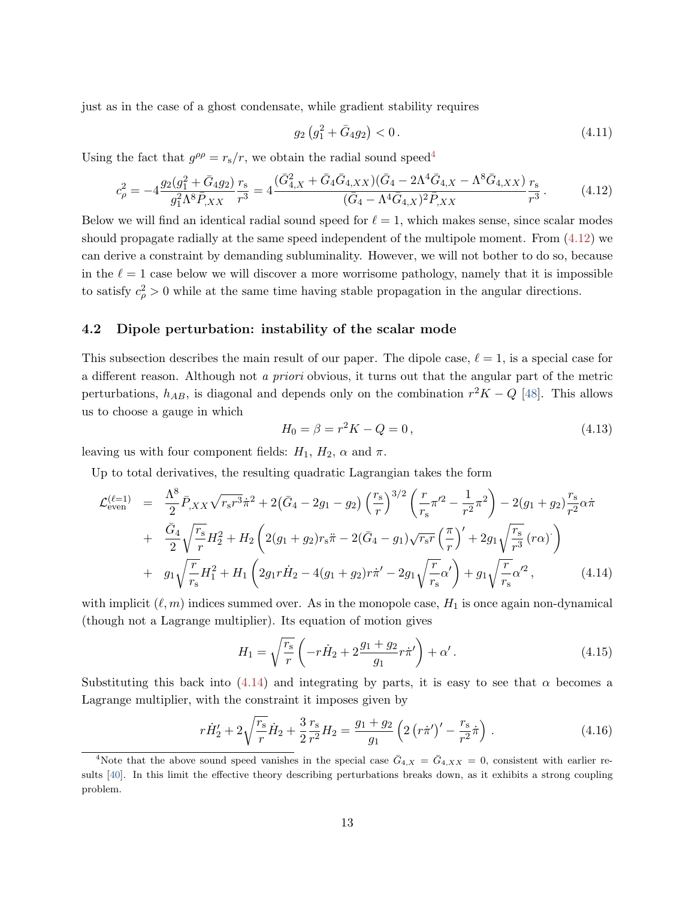just as in the case of a ghost condensate, while gradient stability requires

<span id="page-12-5"></span>
$$
g_2\left(g_1^2 + \bar{G}_4 g_2\right) < 0\,. \tag{4.11}
$$

Using the fact that  $g^{\rho \rho} = r_s/r$ , we obtain the radial sound speed<sup>[4](#page-12-1)</sup>

<span id="page-12-2"></span>
$$
c_{\rho}^{2} = -4 \frac{g_{2}(g_{1}^{2} + \bar{G}_{4}g_{2})}{g_{1}^{2} \Lambda^{8} \bar{P}_{,XX}} \frac{r_{s}}{r^{3}} = 4 \frac{(\bar{G}_{4,X}^{2} + \bar{G}_{4} \bar{G}_{4,XX})(\bar{G}_{4} - 2\Lambda^{4} \bar{G}_{4,X} - \Lambda^{8} \bar{G}_{4,XX})}{(\bar{G}_{4} - \Lambda^{4} \bar{G}_{4,X})^{2} \bar{P}_{,XX}} \frac{r_{s}}{r^{3}}.
$$
(4.12)

Below we will find an identical radial sound speed for  $\ell = 1$ , which makes sense, since scalar modes should propagate radially at the same speed independent of the multipole moment. From [\(4.12\)](#page-12-2) we can derive a constraint by demanding subluminality. However, we will not bother to do so, because in the  $\ell = 1$  case below we will discover a more worrisome pathology, namely that it is impossible to satisfy  $c_{\rho}^2 > 0$  while at the same time having stable propagation in the angular directions.

#### <span id="page-12-0"></span>4.2 Dipole perturbation: instability of the scalar mode

This subsection describes the main result of our paper. The dipole case,  $\ell = 1$ , is a special case for a different reason. Although not a priori obvious, it turns out that the angular part of the metric perturbations,  $h_{AB}$ , is diagonal and depends only on the combination  $r^2K-Q$  [\[48\]](#page-23-9). This allows us to choose a gauge in which

$$
H_0 = \beta = r^2 K - Q = 0,
$$
\n(4.13)

leaving us with four component fields:  $H_1$ ,  $H_2$ ,  $\alpha$  and  $\pi$ .

Up to total derivatives, the resulting quadratic Lagrangian takes the form

<span id="page-12-3"></span>
$$
\mathcal{L}_{even}^{(\ell=1)} = \frac{\Lambda^8}{2} \bar{P}_{,XX} \sqrt{r_s r^3} \dot{\pi}^2 + 2(\bar{G}_4 - 2g_1 - g_2) \left(\frac{r_s}{r}\right)^{3/2} \left(\frac{r}{r_s} \pi'^2 - \frac{1}{r^2} \pi^2\right) - 2(g_1 + g_2) \frac{r_s}{r^2} \alpha \dot{\pi} \n+ \frac{\bar{G}_4}{2} \sqrt{\frac{r_s}{r}} H_2^2 + H_2 \left(2(g_1 + g_2) r_s \ddot{\pi} - 2(\bar{G}_4 - g_1) \sqrt{r_s r} \left(\frac{\pi}{r}\right)' + 2g_1 \sqrt{\frac{r_s}{r^3}} (r \alpha)^2\right) \n+ g_1 \sqrt{\frac{r}{r_s}} H_1^2 + H_1 \left(2g_1 r \dot{H}_2 - 4(g_1 + g_2) r \dot{\pi}' - 2g_1 \sqrt{\frac{r}{r_s}} \alpha'\right) + g_1 \sqrt{\frac{r}{r_s}} \alpha'^2,
$$
\n(4.14)

with implicit  $(\ell, m)$  indices summed over. As in the monopole case,  $H_1$  is once again non-dynamical (though not a Lagrange multiplier). Its equation of motion gives

$$
H_1 = \sqrt{\frac{r_s}{r}} \left( -r\dot{H}_2 + 2\frac{g_1 + g_2}{g_1}r\dot{\pi}' \right) + \alpha'. \tag{4.15}
$$

Substituting this back into [\(4.14\)](#page-12-3) and integrating by parts, it is easy to see that  $\alpha$  becomes a Lagrange multiplier, with the constraint it imposes given by

<span id="page-12-4"></span>
$$
r\dot{H}'_2 + 2\sqrt{\frac{r_s}{r}}\dot{H}_2 + \frac{3}{2}\frac{r_s}{r^2}H_2 = \frac{g_1 + g_2}{g_1} \left(2\left(r\dot{\pi}'\right)' - \frac{r_s}{r^2}\dot{\pi}\right). \tag{4.16}
$$

<span id="page-12-1"></span><sup>&</sup>lt;sup>4</sup>Note that the above sound speed vanishes in the special case  $\bar{G}_{4,X} = \bar{G}_{4,XX} = 0$ , consistent with earlier results [\[40\]](#page-23-1). In this limit the effective theory describing perturbations breaks down, as it exhibits a strong coupling problem.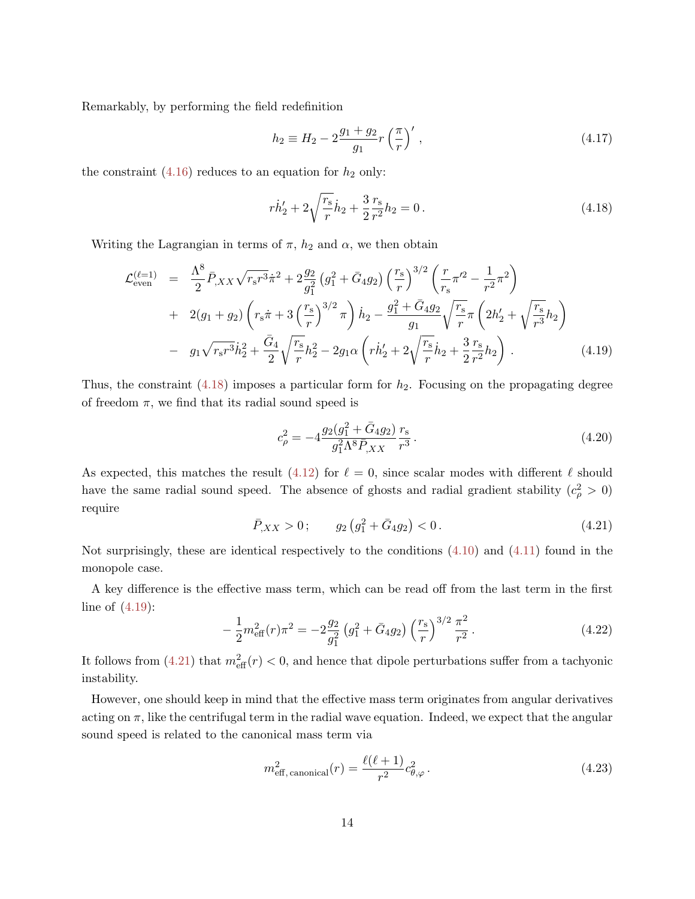Remarkably, by performing the field redefinition

$$
h_2 \equiv H_2 - 2\frac{g_1 + g_2}{g_1} r\left(\frac{\pi}{r}\right)',\tag{4.17}
$$

the constraint [\(4.16\)](#page-12-4) reduces to an equation for  $h_2$  only:

<span id="page-13-0"></span>
$$
r\dot{h}'_2 + 2\sqrt{\frac{r_s}{r}}\dot{h}_2 + \frac{3}{2}\frac{r_s}{r^2}h_2 = 0.
$$
\n(4.18)

Writing the Lagrangian in terms of  $\pi$ ,  $h_2$  and  $\alpha$ , we then obtain

<span id="page-13-1"></span>
$$
\mathcal{L}_{even}^{(\ell=1)} = \frac{\Lambda^8}{2} \bar{P}_{,XX} \sqrt{r_s r^3} \dot{\pi}^2 + 2 \frac{g_2}{g_1^2} \left( g_1^2 + \bar{G}_4 g_2 \right) \left( \frac{r_s}{r} \right)^{3/2} \left( \frac{r}{r_s} \pi'^2 - \frac{1}{r^2} \pi^2 \right) \n+ 2(g_1 + g_2) \left( r_s \dot{\pi} + 3 \left( \frac{r_s}{r} \right)^{3/2} \pi \right) \dot{h}_2 - \frac{g_1^2 + \bar{G}_4 g_2}{g_1} \sqrt{\frac{r_s}{r}} \pi \left( 2h'_2 + \sqrt{\frac{r_s}{r^3}} h_2 \right) \n- g_1 \sqrt{r_s r^3} \dot{h}_2^2 + \frac{\bar{G}_4}{2} \sqrt{\frac{r_s}{r}} h_2^2 - 2g_1 \alpha \left( r \dot{h}'_2 + 2 \sqrt{\frac{r_s}{r}} \dot{h}_2 + \frac{3}{2} \frac{r_s}{r^2} h_2 \right).
$$
\n(4.19)

Thus, the constraint  $(4.18)$  imposes a particular form for  $h_2$ . Focusing on the propagating degree of freedom  $\pi$ , we find that its radial sound speed is

$$
c_{\rho}^{2} = -4 \frac{g_{2}(g_{1}^{2} + \bar{G}_{4}g_{2})}{g_{1}^{2} \Lambda^{8} \bar{P}_{,XX}} \frac{r_{s}}{r^{3}}.
$$
\n(4.20)

As expected, this matches the result [\(4.12\)](#page-12-2) for  $\ell = 0$ , since scalar modes with different  $\ell$  should have the same radial sound speed. The absence of ghosts and radial gradient stability  $(c^2_\rho > 0)$ require

<span id="page-13-2"></span>
$$
\bar{P}_{,XX} > 0 \, ; \qquad g_2 \left( g_1^2 + \bar{G}_4 g_2 \right) < 0 \, . \tag{4.21}
$$

Not surprisingly, these are identical respectively to the conditions  $(4.10)$  and  $(4.11)$  found in the monopole case.

A key difference is the effective mass term, which can be read off from the last term in the first line of [\(4.19\)](#page-13-1):

$$
-\frac{1}{2}m_{\text{eff}}^2(r)\pi^2 = -2\frac{g_2}{g_1^2}\left(g_1^2 + \bar{G}_4g_2\right)\left(\frac{r_s}{r}\right)^{3/2}\frac{\pi^2}{r^2}.
$$
\n(4.22)

It follows from  $(4.21)$  that  $m_{\text{eff}}^2(r) < 0$ , and hence that dipole perturbations suffer from a tachyonic instability.

However, one should keep in mind that the effective mass term originates from angular derivatives acting on  $\pi$ , like the centrifugal term in the radial wave equation. Indeed, we expect that the angular sound speed is related to the canonical mass term via

$$
m_{\text{eff, canonical}}^2(r) = \frac{\ell(\ell+1)}{r^2} c_{\theta,\varphi}^2.
$$
\n(4.23)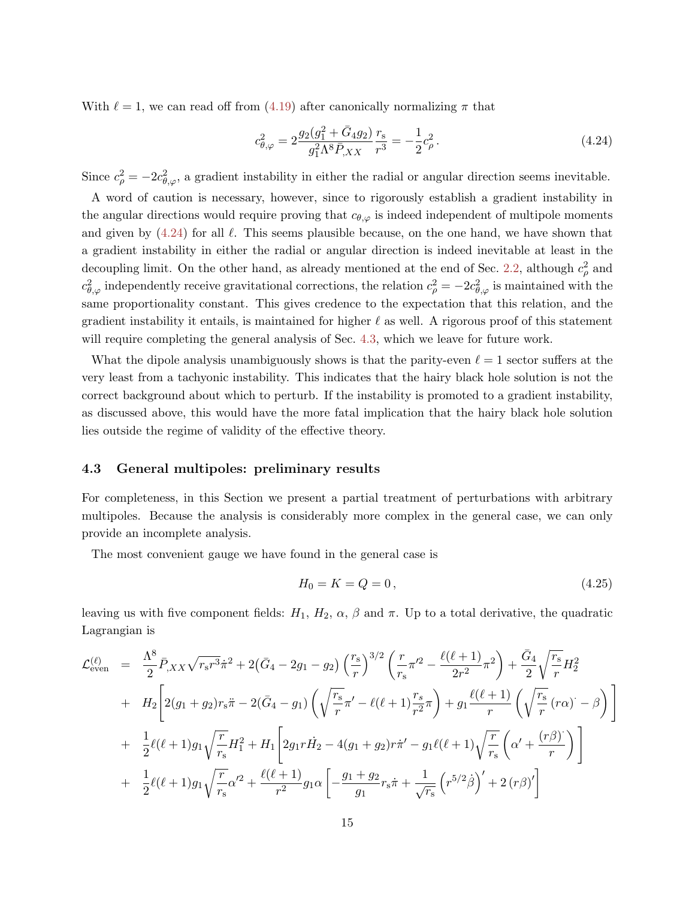With  $\ell = 1$ , we can read off from [\(4.19\)](#page-13-1) after canonically normalizing  $\pi$  that

<span id="page-14-1"></span>
$$
c_{\theta,\varphi}^2 = 2\frac{g_2(g_1^2 + \bar{G}_4 g_2)}{g_1^2 \Lambda^8 \bar{P}_{,XX}} \frac{r_s}{r^3} = -\frac{1}{2}c_\rho^2.
$$
 (4.24)

Since  $c_{\rho}^2 = -2c_{\theta,\varphi}^2$ , a gradient instability in either the radial or angular direction seems inevitable.

A word of caution is necessary, however, since to rigorously establish a gradient instability in the angular directions would require proving that  $c_{\theta,\varphi}$  is indeed independent of multipole moments and given by  $(4.24)$  for all  $\ell$ . This seems plausible because, on the one hand, we have shown that a gradient instability in either the radial or angular direction is indeed inevitable at least in the decoupling limit. On the other hand, as already mentioned at the end of Sec. [2.2,](#page-6-0) although  $c_{\rho}^2$  and  $c_{\theta,\varphi}^2$  independently receive gravitational corrections, the relation  $c_{\rho}^2 = -2c_{\theta,\varphi}^2$  is maintained with the same proportionality constant. This gives credence to the expectation that this relation, and the gradient instability it entails, is maintained for higher  $\ell$  as well. A rigorous proof of this statement will require completing the general analysis of Sec. [4.3,](#page-14-0) which we leave for future work.

What the dipole analysis unambiguously shows is that the parity-even  $\ell = 1$  sector suffers at the very least from a tachyonic instability. This indicates that the hairy black hole solution is not the correct background about which to perturb. If the instability is promoted to a gradient instability, as discussed above, this would have the more fatal implication that the hairy black hole solution lies outside the regime of validity of the effective theory.

#### <span id="page-14-0"></span>4.3 General multipoles: preliminary results

For completeness, in this Section we present a partial treatment of perturbations with arbitrary multipoles. Because the analysis is considerably more complex in the general case, we can only provide an incomplete analysis.

The most convenient gauge we have found in the general case is

$$
H_0 = K = Q = 0, \t\t(4.25)
$$

leaving us with five component fields:  $H_1$ ,  $H_2$ ,  $\alpha$ ,  $\beta$  and  $\pi$ . Up to a total derivative, the quadratic Lagrangian is

<span id="page-14-2"></span>
$$
\mathcal{L}_{even}^{(\ell)} = \frac{\Lambda^8}{2} \bar{P}_{,XX} \sqrt{r_s r^3} \dot{\pi}^2 + 2(\bar{G}_4 - 2g_1 - g_2) \left(\frac{r_s}{r}\right)^{3/2} \left(\frac{r}{r_s} \pi'^2 - \frac{\ell(\ell+1)}{2r^2} \pi^2\right) + \frac{\bar{G}_4}{2} \sqrt{\frac{r_s}{r}} H_2^2
$$
  
+ 
$$
H_2 \left[ 2(g_1 + g_2) r_s \ddot{\pi} - 2(\bar{G}_4 - g_1) \left( \sqrt{\frac{r_s}{r}} \pi' - \ell(\ell+1) \frac{r_s}{r^2} \pi \right) + g_1 \frac{\ell(\ell+1)}{r} \left( \sqrt{\frac{r_s}{r}} (r\alpha) - \beta \right) \right]
$$
  
+ 
$$
\frac{1}{2} \ell(\ell+1) g_1 \sqrt{\frac{r}{r_s}} H_1^2 + H_1 \left[ 2g_1 r \dot{H}_2 - 4(g_1 + g_2) r \dot{\pi}' - g_1 \ell(\ell+1) \sqrt{\frac{r}{r_s}} \left( \alpha' + \frac{(r\beta)^2}{r} \right) \right]
$$
  
+ 
$$
\frac{1}{2} \ell(\ell+1) g_1 \sqrt{\frac{r}{r_s}} \alpha'^2 + \frac{\ell(\ell+1)}{r^2} g_1 \alpha \left[ -\frac{g_1 + g_2}{g_1} r_s \dot{\pi} + \frac{1}{\sqrt{r_s}} \left( r^{5/2} \dot{\beta} \right)' + 2(r\beta)' \right]
$$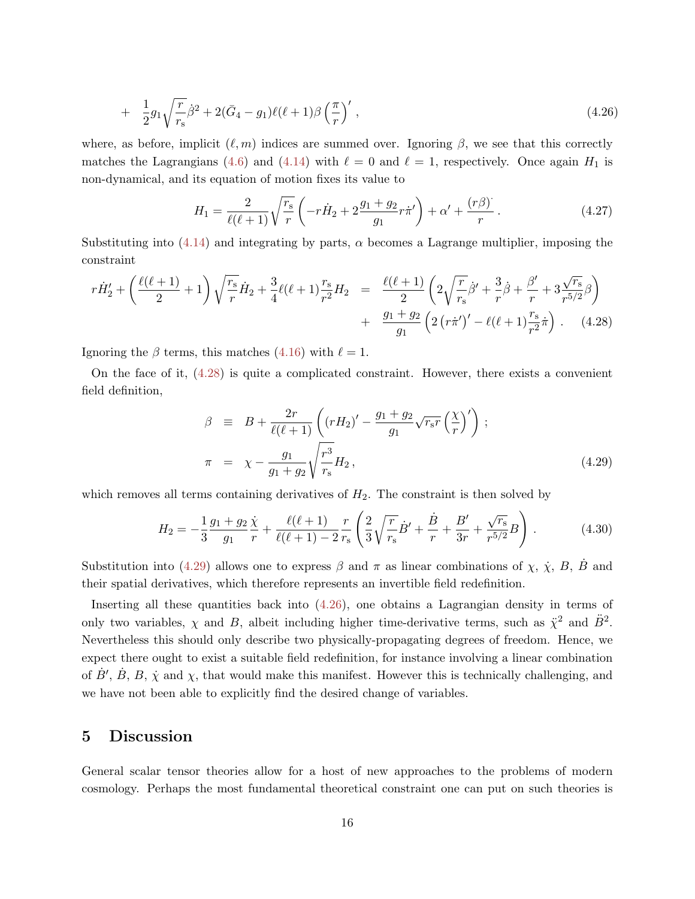+ 
$$
\frac{1}{2}g_1\sqrt{\frac{r}{r_s}}\dot{\beta}^2 + 2(\bar{G}_4 - g_1)\ell(\ell+1)\beta\left(\frac{\pi}{r}\right)',
$$
 (4.26)

where, as before, implicit  $(\ell, m)$  indices are summed over. Ignoring β, we see that this correctly matches the Lagrangians [\(4.6\)](#page-11-4) and [\(4.14\)](#page-12-3) with  $\ell = 0$  and  $\ell = 1$ , respectively. Once again  $H_1$  is non-dynamical, and its equation of motion fixes its value to

$$
H_1 = \frac{2}{\ell(\ell+1)} \sqrt{\frac{r_s}{r}} \left( -r\dot{H}_2 + 2\frac{g_1 + g_2}{g_1}r\dot{\pi}' \right) + \alpha' + \frac{(r\beta)^2}{r} \,. \tag{4.27}
$$

Substituting into  $(4.14)$  and integrating by parts,  $\alpha$  becomes a Lagrange multiplier, imposing the constraint

<span id="page-15-1"></span>
$$
r\dot{H}'_2 + \left(\frac{\ell(\ell+1)}{2} + 1\right)\sqrt{\frac{r_s}{r}}\dot{H}_2 + \frac{3}{4}\ell(\ell+1)\frac{r_s}{r^2}H_2 = \frac{\ell(\ell+1)}{2}\left(2\sqrt{\frac{r}{r_s}}\dot{\beta}' + \frac{3}{r}\dot{\beta} + \frac{\beta'}{r} + 3\frac{\sqrt{r_s}}{r^{5/2}}\beta\right) + \frac{g_1 + g_2}{g_1}\left(2\left(r\dot{\pi}'\right)' - \ell(\ell+1)\frac{r_s}{r^2}\dot{\pi}\right). \tag{4.28}
$$

Ignoring the  $\beta$  terms, this matches [\(4.16\)](#page-12-4) with  $\ell = 1$ .

On the face of it, [\(4.28\)](#page-15-1) is quite a complicated constraint. However, there exists a convenient field definition,

<span id="page-15-2"></span>
$$
\beta \equiv B + \frac{2r}{\ell(\ell+1)} \left( (rH_2)' - \frac{g_1 + g_2}{g_1} \sqrt{r_s r} \left( \frac{\chi}{r} \right)' \right) ;
$$
  
\n
$$
\pi = \chi - \frac{g_1}{g_1 + g_2} \sqrt{\frac{r^3}{r_s}} H_2 ,
$$
\n(4.29)

which removes all terms containing derivatives of  $H_2$ . The constraint is then solved by

$$
H_2 = -\frac{1}{3} \frac{g_1 + g_2}{g_1} \frac{\dot{\chi}}{r} + \frac{\ell(\ell+1)}{\ell(\ell+1) - 2} \frac{r}{r_s} \left( \frac{2}{3} \sqrt{\frac{r}{r_s}} \dot{B}' + \frac{\dot{B}}{r} + \frac{B'}{3r} + \frac{\sqrt{r_s}}{r^{5/2}} B \right).
$$
 (4.30)

Substitution into [\(4.29\)](#page-15-2) allows one to express  $\beta$  and  $\pi$  as linear combinations of  $\chi$ ,  $\dot{\chi}$ ,  $B$ ,  $B$  and their spatial derivatives, which therefore represents an invertible field redefinition.

Inserting all these quantities back into  $(4.26)$ , one obtains a Lagrangian density in terms of only two variables,  $\chi$  and B, albeit including higher time-derivative terms, such as  $\ddot{\chi}^2$  and  $\ddot{B}^2$ . Nevertheless this should only describe two physically-propagating degrees of freedom. Hence, we expect there ought to exist a suitable field redefinition, for instance involving a linear combination of  $\dot{B}'$ ,  $\dot{B}$ ,  $B$ ,  $\dot{\chi}$  and  $\chi$ , that would make this manifest. However this is technically challenging, and we have not been able to explicitly find the desired change of variables.

## <span id="page-15-0"></span>5 Discussion

General scalar tensor theories allow for a host of new approaches to the problems of modern cosmology. Perhaps the most fundamental theoretical constraint one can put on such theories is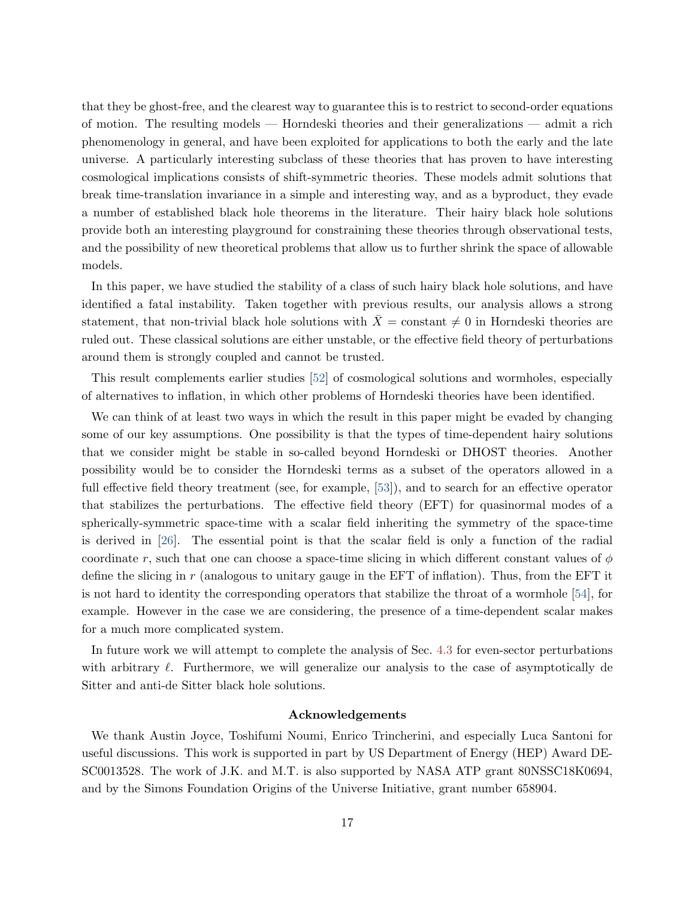that they be ghost-free, and the clearest way to guarantee this is to restrict to second-order equations of motion. The resulting models — Horndeski theories and their generalizations — admit a rich phenomenology in general, and have been exploited for applications to both the early and the late universe. A particularly interesting subclass of these theories that has proven to have interesting cosmological implications consists of shift-symmetric theories. These models admit solutions that break time-translation invariance in a simple and interesting way, and as a byproduct, they evade a number of established black hole theorems in the literature. Their hairy black hole solutions provide both an interesting playground for constraining these theories through observational tests, and the possibility of new theoretical problems that allow us to further shrink the space of allowable models.

In this paper, we have studied the stability of a class of such hairy black hole solutions, and have identified a fatal instability. Taken together with previous results, our analysis allows a strong statement, that non-trivial black hole solutions with  $\bar{X} = \text{constant} \neq 0$  in Horndeski theories are ruled out. These classical solutions are either unstable, or the effective field theory of perturbations around them is strongly coupled and cannot be trusted.

This result complements earlier studies [\[52\]](#page-24-1) of cosmological solutions and wormholes, especially of alternatives to inflation, in which other problems of Horndeski theories have been identified.

We can think of at least two ways in which the result in this paper might be evaded by changing some of our key assumptions. One possibility is that the types of time-dependent hairy solutions that we consider might be stable in so-called beyond Horndeski or DHOST theories. Another possibility would be to consider the Horndeski terms as a subset of the operators allowed in a full effective field theory treatment (see, for example, [\[53\]](#page-24-2)), and to search for an effective operator that stabilizes the perturbations. The effective field theory (EFT) for quasinormal modes of a spherically-symmetric space-time with a scalar field inheriting the symmetry of the space-time is derived in [\[26\]](#page-22-1). The essential point is that the scalar field is only a function of the radial coordinate r, such that one can choose a space-time slicing in which different constant values of  $\phi$ define the slicing in  $r$  (analogous to unitary gauge in the EFT of inflation). Thus, from the EFT it is not hard to identity the corresponding operators that stabilize the throat of a wormhole [\[54\]](#page-24-3), for example. However in the case we are considering, the presence of a time-dependent scalar makes for a much more complicated system.

In future work we will attempt to complete the analysis of Sec. [4.3](#page-14-0) for even-sector perturbations with arbitrary  $\ell$ . Furthermore, we will generalize our analysis to the case of asymptotically de Sitter and anti-de Sitter black hole solutions.

#### Acknowledgements

We thank Austin Joyce, Toshifumi Noumi, Enrico Trincherini, and especially Luca Santoni for useful discussions. This work is supported in part by US Department of Energy (HEP) Award DE-SC0013528. The work of J.K. and M.T. is also supported by NASA ATP grant 80NSSC18K0694, and by the Simons Foundation Origins of the Universe Initiative, grant number 658904.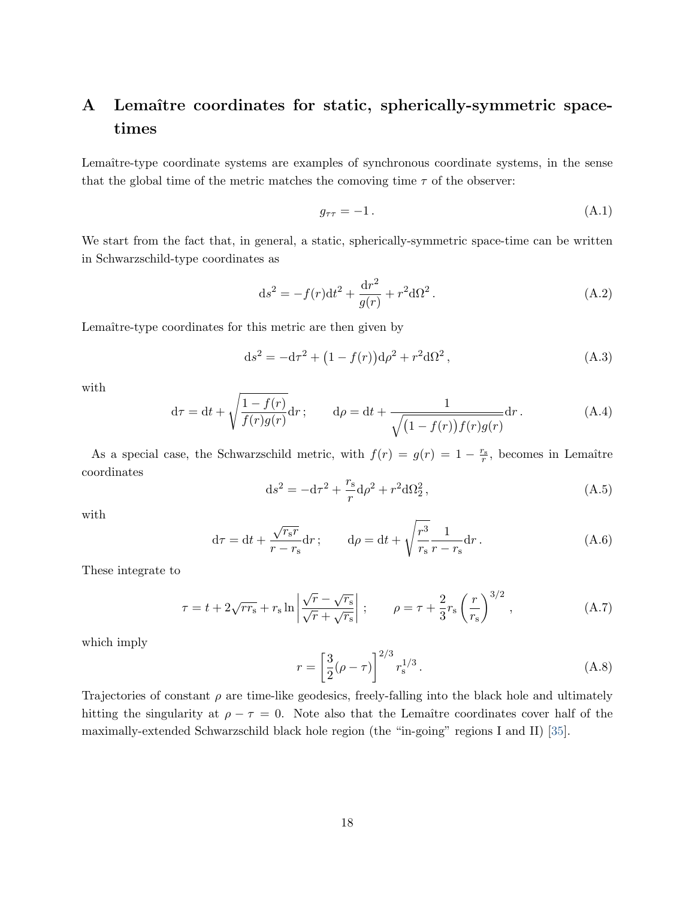# <span id="page-17-0"></span>A Lemaître coordinates for static, spherically-symmetric spacetimes

Lemaître-type coordinate systems are examples of synchronous coordinate systems, in the sense that the global time of the metric matches the comoving time  $\tau$  of the observer:

$$
g_{\tau\tau} = -1.\tag{A.1}
$$

We start from the fact that, in general, a static, spherically-symmetric space-time can be written in Schwarzschild-type coordinates as

$$
ds^{2} = -f(r)dt^{2} + \frac{dr^{2}}{g(r)} + r^{2}d\Omega^{2}.
$$
 (A.2)

Lemaître-type coordinates for this metric are then given by

$$
ds^{2} = -d\tau^{2} + (1 - f(r))d\rho^{2} + r^{2}d\Omega^{2}, \qquad (A.3)
$$

with

$$
d\tau = dt + \sqrt{\frac{1 - f(r)}{f(r)g(r)}} dr; \qquad d\rho = dt + \frac{1}{\sqrt{(1 - f(r))f(r)g(r)}} dr.
$$
 (A.4)

As a special case, the Schwarzschild metric, with  $f(r) = g(r) = 1 - \frac{r_s}{r}$ , becomes in Lemaître coordinates

$$
ds^{2} = -d\tau^{2} + \frac{r_{s}}{r}d\rho^{2} + r^{2}d\Omega_{2}^{2},
$$
\n(A.5)

with

$$
d\tau = dt + \frac{\sqrt{r_s r}}{r - r_s} dr; \qquad d\rho = dt + \sqrt{\frac{r^3}{r_s}} \frac{1}{r - r_s} dr.
$$
 (A.6)

These integrate to

<span id="page-17-1"></span>
$$
\tau = t + 2\sqrt{rr_s} + r_s \ln \left| \frac{\sqrt{r} - \sqrt{r_s}}{\sqrt{r} + \sqrt{r_s}} \right| ; \qquad \rho = \tau + \frac{2}{3}r_s \left(\frac{r}{r_s}\right)^{3/2}, \qquad (A.7)
$$

which imply

$$
r = \left[\frac{3}{2}(\rho - \tau)\right]^{2/3} r_s^{1/3}.
$$
 (A.8)

Trajectories of constant  $\rho$  are time-like geodesics, freely-falling into the black hole and ultimately hitting the singularity at  $\rho - \tau = 0$ . Note also that the Lemaître coordinates cover half of the maximally-extended Schwarzschild black hole region (the "in-going" regions I and II) [\[35\]](#page-22-4).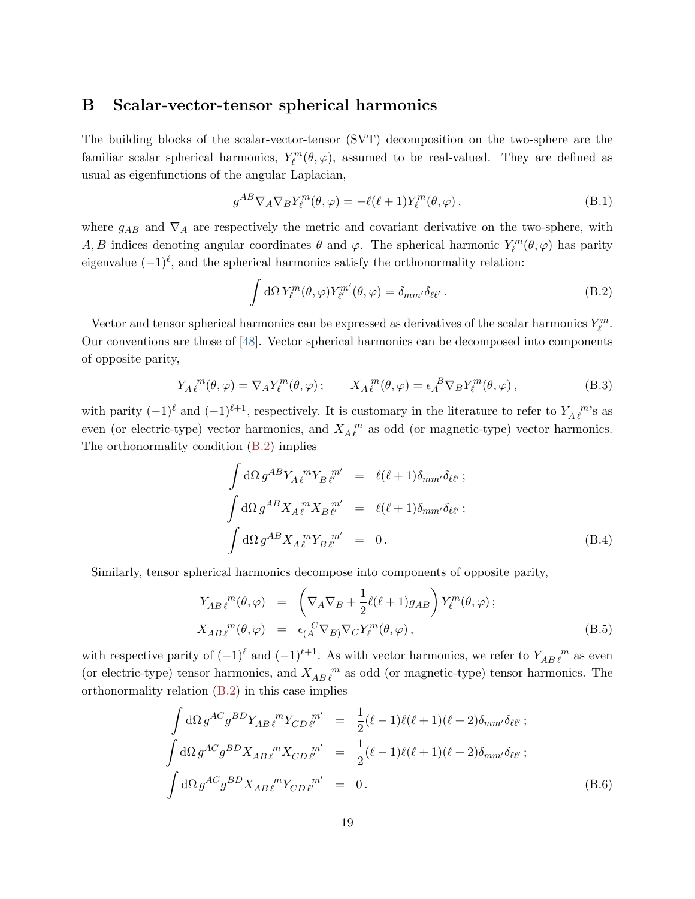### <span id="page-18-0"></span>B Scalar-vector-tensor spherical harmonics

The building blocks of the scalar-vector-tensor (SVT) decomposition on the two-sphere are the familiar scalar spherical harmonics,  $Y_{\ell}^{m}(\theta, \varphi)$ , assumed to be real-valued. They are defined as usual as eigenfunctions of the angular Laplacian,

$$
g^{AB}\nabla_A\nabla_B Y_\ell^m(\theta,\varphi) = -\ell(\ell+1)Y_\ell^m(\theta,\varphi)\,,\tag{B.1}
$$

where  $g_{AB}$  and  $\nabla_A$  are respectively the metric and covariant derivative on the two-sphere, with A, B indices denoting angular coordinates  $\theta$  and  $\varphi$ . The spherical harmonic  $Y_{\ell}^{m}(\theta, \varphi)$  has parity eigenvalue  $(-1)^{\ell}$ , and the spherical harmonics satisfy the orthonormality relation:

<span id="page-18-1"></span>
$$
\int d\Omega Y_{\ell}^{m}(\theta,\varphi)Y_{\ell'}^{m'}(\theta,\varphi) = \delta_{mm'}\delta_{\ell\ell'}.
$$
\n(B.2)

Vector and tensor spherical harmonics can be expressed as derivatives of the scalar harmonics  $Y_{\ell}^m$ . Our conventions are those of [\[48\]](#page-23-9). Vector spherical harmonics can be decomposed into components of opposite parity,

$$
Y_A{}^m_\ell(\theta,\varphi) = \nabla_A Y^m_\ell(\theta,\varphi) ; \qquad X_A{}^m_\ell(\theta,\varphi) = \epsilon_A{}^B \nabla_B Y^m_\ell(\theta,\varphi) , \qquad (B.3)
$$

with parity  $(-1)^{\ell}$  and  $(-1)^{\ell+1}$ , respectively. It is customary in the literature to refer to  $Y_{A\ell}^{\ m}$ 's as even (or electric-type) vector harmonics, and  $X_A^{\mu}$  as odd (or magnetic-type) vector harmonics. The orthonormality condition [\(B.2\)](#page-18-1) implies

$$
\int d\Omega g^{AB} Y_A \ell^m Y_B \ell^m' = \ell(\ell+1) \delta_{mm'} \delta_{\ell\ell'} ;
$$
  

$$
\int d\Omega g^{AB} X_A \ell^m X_B \ell^m' = \ell(\ell+1) \delta_{mm'} \delta_{\ell\ell'} ;
$$
  

$$
\int d\Omega g^{AB} X_A \ell^m Y_B \ell^m' = 0.
$$
 (B.4)

Similarly, tensor spherical harmonics decompose into components of opposite parity,

$$
Y_{AB\ell}^{m}(\theta,\varphi) = \left(\nabla_A \nabla_B + \frac{1}{2}\ell(\ell+1)g_{AB}\right) Y_{\ell}^{m}(\theta,\varphi);
$$
  
\n
$$
X_{AB\ell}^{m}(\theta,\varphi) = \epsilon_{(A}^{C} \nabla_{B)} \nabla_C Y_{\ell}^{m}(\theta,\varphi),
$$
\n(B.5)

with respective parity of  $(-1)^{\ell}$  and  $(-1)^{\ell+1}$ . As with vector harmonics, we refer to  $Y_{AB\ell}^m$  as even (or electric-type) tensor harmonics, and  $X_{AB} \ell^m$  as odd (or magnetic-type) tensor harmonics. The orthonormality relation  $(B.2)$  in this case implies

$$
\int d\Omega g^{AC} g^{BD} Y_{AB \ell}{}^{m} Y_{CD \ell'}{}^{m'} = \frac{1}{2} (\ell - 1) \ell (\ell + 1) (\ell + 2) \delta_{mm'} \delta_{\ell \ell'} ;
$$
\n
$$
\int d\Omega g^{AC} g^{BD} X_{AB \ell}{}^{m} X_{CD \ell'}{}^{m'} = \frac{1}{2} (\ell - 1) \ell (\ell + 1) (\ell + 2) \delta_{mm'} \delta_{\ell \ell'} ;
$$
\n
$$
\int d\Omega g^{AC} g^{BD} X_{AB \ell}{}^{m} Y_{CD \ell'}{}^{m'} = 0.
$$
\n(B.6)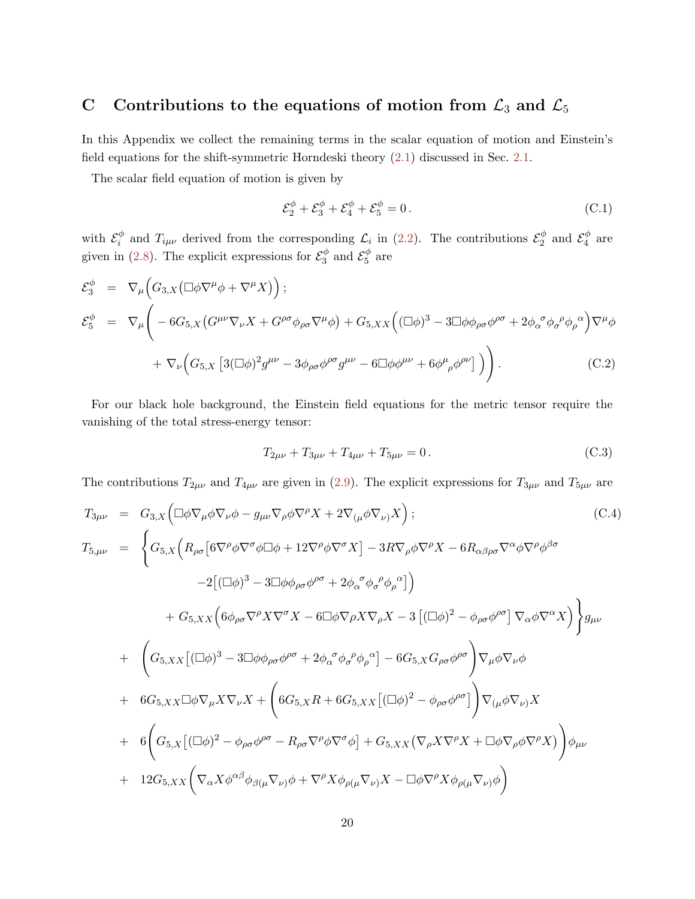# <span id="page-19-0"></span>C Contributions to the equations of motion from  $\mathcal{L}_3$  and  $\mathcal{L}_5$

In this Appendix we collect the remaining terms in the scalar equation of motion and Einstein's field equations for the shift-symmetric Horndeski theory [\(2.1\)](#page-2-1) discussed in Sec. [2.1.](#page-4-0)

The scalar field equation of motion is given by

$$
\mathcal{E}_2^{\phi} + \mathcal{E}_3^{\phi} + \mathcal{E}_4^{\phi} + \mathcal{E}_5^{\phi} = 0.
$$
 (C.1)

with  $\mathcal{E}_i^{\phi}$  $\psi_i^{\phi}$  and  $T_{i\mu\nu}$  derived from the corresponding  $\mathcal{L}_i$  in [\(2.2\)](#page-2-2). The contributions  $\mathcal{E}_2^{\phi}$  $\frac{\phi}{2}$  and  $\mathcal{E}_4^{\phi}$  $a_4^{\varphi}$  are given in [\(2.8\)](#page-4-1). The explicit expressions for  $\mathcal{E}_3^{\phi}$  $\frac{\phi}{3}$  and  $\mathcal{E}_5^{\phi}$  $\frac{\varphi}{5}$  are

$$
\mathcal{E}_{3}^{\phi} = \nabla_{\mu} \Big( G_{3,X} \big( \Box \phi \nabla^{\mu} \phi + \nabla^{\mu} X \big) \Big);
$$
\n
$$
\mathcal{E}_{5}^{\phi} = \nabla_{\mu} \Big( -6G_{5,X} \big( G^{\mu\nu} \nabla_{\nu} X + G^{\rho\sigma} \phi_{\rho\sigma} \nabla^{\mu} \phi \big) + G_{5,XX} \Big( (\Box \phi)^{3} - 3 \Box \phi \phi_{\rho\sigma} \phi^{\rho\sigma} + 2 \phi_{\alpha}{}^{\sigma} \phi_{\sigma}{}^{\rho} \phi_{\rho}{}^{\alpha} \Big) \nabla^{\mu} \phi
$$
\n
$$
+ \nabla_{\nu} \Big( G_{5,X} \big[ 3(\Box \phi)^{2} g^{\mu\nu} - 3 \phi_{\rho\sigma} \phi^{\rho\sigma} g^{\mu\nu} - 6 \Box \phi \phi^{\mu\nu} + 6 \phi^{\mu}{}_{\rho} \phi^{\rho\nu} \big] \Big) \Bigg). \tag{C.2}
$$

For our black hole background, the Einstein field equations for the metric tensor require the vanishing of the total stress-energy tensor:

$$
T_{2\mu\nu} + T_{3\mu\nu} + T_{4\mu\nu} + T_{5\mu\nu} = 0.
$$
 (C.3)

The contributions  $T_{2\mu\nu}$  and  $T_{4\mu\nu}$  are given in [\(2.9\)](#page-4-2). The explicit expressions for  $T_{3\mu\nu}$  and  $T_{5\mu\nu}$  are

$$
T_{3\mu\nu} = G_{3,X} (\Box \phi \nabla_{\mu} \phi \nabla_{\nu} \phi - g_{\mu\nu} \nabla_{\rho} \phi \nabla^{\rho} X + 2 \nabla_{(\mu} \phi \nabla_{\nu)} X);
$$
\n(C.4)  
\n
$$
T_{5,\mu\nu} = \begin{cases} G_{5,X} (R_{\rho\sigma} [6 \nabla^{\rho} \phi \nabla^{\sigma} \phi \Box \phi + 12 \nabla^{\rho} \phi \nabla^{\sigma} X] - 3R \nabla_{\rho} \phi \nabla^{\rho} X - 6R_{\alpha\beta\rho\sigma} \nabla^{\alpha} \phi \nabla^{\rho} \phi^{\beta\sigma} \\ - 2 [(\Box \phi)^3 - 3 \Box \phi \phi_{\rho\sigma} \phi^{\rho\sigma} + 2 \phi_{\alpha}^{\sigma} \phi_{\sigma}^{\rho} \phi_{\rho}^{\alpha}] \end{cases})
$$
\n
$$
+ G_{5,XX} (6 \phi_{\rho\sigma} \nabla^{\rho} X \nabla^{\sigma} X - 6 \Box \phi \nabla_{\rho} X \nabla_{\rho} X - 3 [(\Box \phi)^2 - \phi_{\rho\sigma} \phi^{\rho\sigma}] \nabla_{\alpha} \phi \nabla^{\alpha} X] \end{cases})_{\mu\nu}
$$
\n
$$
+ \begin{pmatrix} G_{5,XX} [(\Box \phi)^3 - 3 \Box \phi \phi_{\rho\sigma} \phi^{\rho\sigma} + 2 \phi_{\alpha}^{\sigma} \phi_{\sigma}^{\rho} \phi_{\rho}^{\alpha}] - 6G_{5,X} G_{\rho\sigma} \phi^{\rho\sigma} \end{pmatrix} \nabla_{\mu} \phi \nabla_{\nu} \phi
$$
\n
$$
+ 6G_{5,XX} \Box \phi \nabla_{\mu} X \nabla_{\nu} X + \begin{pmatrix} 6G_{5,X}R + 6G_{5,XX} [(\Box \phi)^2 - \phi_{\rho\sigma} \phi^{\rho\sigma}] \end{pmatrix} \nabla_{(\mu} \phi \nabla_{\nu}) X
$$
\n
$$
+ 6 \begin{pmatrix} G_{5,X} [(\Box \phi)^2 - \phi_{\rho\sigma} \phi^{\rho\sigma} - R_{\rho\sigma} \nabla^{\rho} \
$$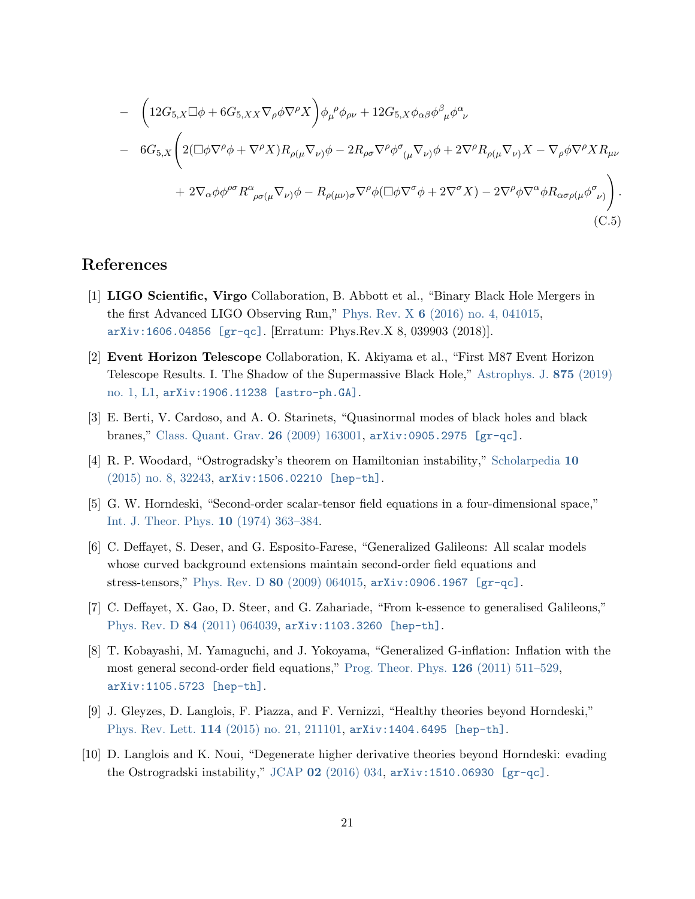$$
- \left(12G_{5,X}\Box\phi + 6G_{5,XX}\nabla_{\rho}\phi\nabla^{\rho}X\right)\phi_{\mu}^{\ \rho}\phi_{\rho\nu} + 12G_{5,X}\phi_{\alpha\beta}\phi^{\beta}_{\ \mu}\phi^{\alpha}_{\ \nu}
$$
  
- 6G<sub>5,X</sub> $\left(2(\Box\phi\nabla^{\rho}\phi + \nabla^{\rho}X)R_{\rho(\mu}\nabla_{\nu)}\phi - 2R_{\rho\sigma}\nabla^{\rho}\phi^{\sigma}_{(\mu}\nabla_{\nu)}\phi + 2\nabla^{\rho}R_{\rho(\mu}\nabla_{\nu)}X - \nabla_{\rho}\phi\nabla^{\rho}XR_{\mu\nu}\right)$   
+ 2 $\nabla_{\alpha}\phi\phi^{\rho\sigma}R^{\alpha}_{\ \rho\sigma(\mu}\nabla_{\nu)}\phi - R_{\rho(\mu\nu)\sigma}\nabla^{\rho}\phi(\Box\phi\nabla^{\sigma}\phi + 2\nabla^{\sigma}X) - 2\nabla^{\rho}\phi\nabla^{\alpha}\phi R_{\alpha\sigma\rho(\mu}\phi^{\sigma}_{\ \nu)}\right).$   
(C.5)

## References

- <span id="page-20-0"></span>[1] LIGO Scientific, Virgo Collaboration, B. Abbott et al., "Binary Black Hole Mergers in the first Advanced LIGO Observing Run," Phys. Rev. X 6 [\(2016\) no. 4, 041015,](http://dx.doi.org/10.1103/PhysRevX.6.041015) [arXiv:1606.04856 \[gr-qc\]](http://arxiv.org/abs/1606.04856). [Erratum: Phys.Rev.X 8, 039903 (2018)].
- <span id="page-20-1"></span>[2] Event Horizon Telescope Collaboration, K. Akiyama et al., "First M87 Event Horizon Telescope Results. I. The Shadow of the Supermassive Black Hole," [Astrophys. J.](http://dx.doi.org/10.3847/2041-8213/ab0ec7) 875 (2019) [no. 1, L1,](http://dx.doi.org/10.3847/2041-8213/ab0ec7) [arXiv:1906.11238 \[astro-ph.GA\]](http://arxiv.org/abs/1906.11238).
- <span id="page-20-2"></span>[3] E. Berti, V. Cardoso, and A. O. Starinets, "Quasinormal modes of black holes and black branes," [Class. Quant. Grav.](http://dx.doi.org/10.1088/0264-9381/26/16/163001) 26 (2009) 163001, [arXiv:0905.2975 \[gr-qc\]](http://arxiv.org/abs/0905.2975).
- <span id="page-20-3"></span>[4] R. P. Woodard, "Ostrogradsky's theorem on Hamiltonian instability," [Scholarpedia](http://dx.doi.org/10.4249/scholarpedia.32243) 10 [\(2015\) no. 8, 32243,](http://dx.doi.org/10.4249/scholarpedia.32243) [arXiv:1506.02210 \[hep-th\]](http://arxiv.org/abs/1506.02210).
- <span id="page-20-4"></span>[5] G. W. Horndeski, "Second-order scalar-tensor field equations in a four-dimensional space," [Int. J. Theor. Phys.](http://dx.doi.org/10.1007/BF01807638) 10 (1974) 363–384.
- <span id="page-20-5"></span>[6] C. Deffayet, S. Deser, and G. Esposito-Farese, "Generalized Galileons: All scalar models whose curved background extensions maintain second-order field equations and stress-tensors," Phys. Rev. D 80 [\(2009\) 064015,](http://dx.doi.org/10.1103/PhysRevD.80.064015) [arXiv:0906.1967 \[gr-qc\]](http://arxiv.org/abs/0906.1967).
- [7] C. Deffayet, X. Gao, D. Steer, and G. Zahariade, "From k-essence to generalised Galileons," Phys. Rev. D 84 [\(2011\) 064039,](http://dx.doi.org/10.1103/PhysRevD.84.064039) [arXiv:1103.3260 \[hep-th\]](http://arxiv.org/abs/1103.3260).
- <span id="page-20-6"></span>[8] T. Kobayashi, M. Yamaguchi, and J. Yokoyama, "Generalized G-inflation: Inflation with the most general second-order field equations," [Prog. Theor. Phys.](http://dx.doi.org/10.1143/PTP.126.511) 126 (2011) 511–529, [arXiv:1105.5723 \[hep-th\]](http://arxiv.org/abs/1105.5723).
- <span id="page-20-7"></span>[9] J. Gleyzes, D. Langlois, F. Piazza, and F. Vernizzi, "Healthy theories beyond Horndeski," Phys. Rev. Lett. 114 [\(2015\) no. 21, 211101,](http://dx.doi.org/10.1103/PhysRevLett.114.211101) [arXiv:1404.6495 \[hep-th\]](http://arxiv.org/abs/1404.6495).
- <span id="page-20-8"></span>[10] D. Langlois and K. Noui, "Degenerate higher derivative theories beyond Horndeski: evading the Ostrogradski instability," JCAP 02 [\(2016\) 034,](http://dx.doi.org/10.1088/1475-7516/2016/02/034) [arXiv:1510.06930 \[gr-qc\]](http://arxiv.org/abs/1510.06930).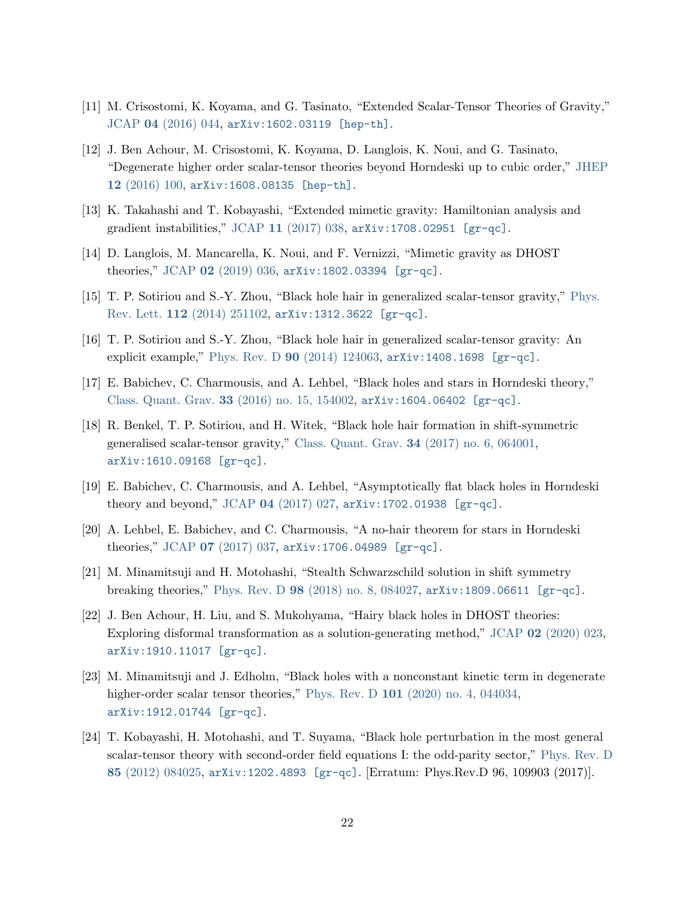- [11] M. Crisostomi, K. Koyama, and G. Tasinato, "Extended Scalar-Tensor Theories of Gravity," JCAP 04 [\(2016\) 044,](http://dx.doi.org/10.1088/1475-7516/2016/04/044) [arXiv:1602.03119 \[hep-th\]](http://arxiv.org/abs/1602.03119).
- [12] J. Ben Achour, M. Crisostomi, K. Koyama, D. Langlois, K. Noui, and G. Tasinato, "Degenerate higher order scalar-tensor theories beyond Horndeski up to cubic order," [JHEP](http://dx.doi.org/10.1007/JHEP12(2016)100) 12 [\(2016\) 100,](http://dx.doi.org/10.1007/JHEP12(2016)100) [arXiv:1608.08135 \[hep-th\]](http://arxiv.org/abs/1608.08135).
- [13] K. Takahashi and T. Kobayashi, "Extended mimetic gravity: Hamiltonian analysis and gradient instabilities," JCAP 11 [\(2017\) 038,](http://dx.doi.org/10.1088/1475-7516/2017/11/038) [arXiv:1708.02951 \[gr-qc\]](http://arxiv.org/abs/1708.02951).
- <span id="page-21-0"></span>[14] D. Langlois, M. Mancarella, K. Noui, and F. Vernizzi, "Mimetic gravity as DHOST theories," JCAP 02 [\(2019\) 036,](http://dx.doi.org/10.1088/1475-7516/2019/02/036) [arXiv:1802.03394 \[gr-qc\]](http://arxiv.org/abs/1802.03394).
- <span id="page-21-1"></span>[15] T. P. Sotiriou and S.-Y. Zhou, "Black hole hair in generalized scalar-tensor gravity," [Phys.](http://dx.doi.org/10.1103/PhysRevLett.112.251102) Rev. Lett. 112 [\(2014\) 251102,](http://dx.doi.org/10.1103/PhysRevLett.112.251102) [arXiv:1312.3622 \[gr-qc\]](http://arxiv.org/abs/1312.3622).
- [16] T. P. Sotiriou and S.-Y. Zhou, "Black hole hair in generalized scalar-tensor gravity: An explicit example," Phys. Rev. D  $90$  [\(2014\) 124063,](http://dx.doi.org/10.1103/PhysRevD.90.124063)  $arXiv:1408.1698$  [gr-qc].
- [17] E. Babichev, C. Charmousis, and A. Lehbel, "Black holes and stars in Horndeski theory," Class. Quant. Grav. 33 [\(2016\) no. 15, 154002,](http://dx.doi.org/10.1088/0264-9381/33/15/154002) [arXiv:1604.06402 \[gr-qc\]](http://arxiv.org/abs/1604.06402).
- [18] R. Benkel, T. P. Sotiriou, and H. Witek, "Black hole hair formation in shift-symmetric generalised scalar-tensor gravity," Class. Quant. Grav. 34 [\(2017\) no. 6, 064001,](http://dx.doi.org/10.1088/1361-6382/aa5ce7) [arXiv:1610.09168 \[gr-qc\]](http://arxiv.org/abs/1610.09168).
- [19] E. Babichev, C. Charmousis, and A. Lehbel, "Asymptotically flat black holes in Horndeski theory and beyond," JCAP 04 [\(2017\) 027,](http://dx.doi.org/10.1088/1475-7516/2017/04/027) [arXiv:1702.01938 \[gr-qc\]](http://arxiv.org/abs/1702.01938).
- [20] A. Lehbel, E. Babichev, and C. Charmousis, "A no-hair theorem for stars in Horndeski theories," JCAP 07 [\(2017\) 037,](http://dx.doi.org/10.1088/1475-7516/2017/07/037) [arXiv:1706.04989 \[gr-qc\]](http://arxiv.org/abs/1706.04989).
- [21] M. Minamitsuji and H. Motohashi, "Stealth Schwarzschild solution in shift symmetry breaking theories," Phys. Rev. D 98 [\(2018\) no. 8, 084027,](http://dx.doi.org/10.1103/PhysRevD.98.084027) [arXiv:1809.06611 \[gr-qc\]](http://arxiv.org/abs/1809.06611).
- [22] J. Ben Achour, H. Liu, and S. Mukohyama, "Hairy black holes in DHOST theories: Exploring disformal transformation as a solution-generating method," JCAP 02 [\(2020\) 023,](http://dx.doi.org/10.1088/1475-7516/2020/02/023) [arXiv:1910.11017 \[gr-qc\]](http://arxiv.org/abs/1910.11017).
- <span id="page-21-2"></span>[23] M. Minamitsuji and J. Edholm, "Black holes with a nonconstant kinetic term in degenerate higher-order scalar tensor theories," Phys. Rev. D 101 [\(2020\) no. 4, 044034,](http://dx.doi.org/10.1103/PhysRevD.101.044034) [arXiv:1912.01744 \[gr-qc\]](http://arxiv.org/abs/1912.01744).
- <span id="page-21-3"></span>[24] T. Kobayashi, H. Motohashi, and T. Suyama, "Black hole perturbation in the most general scalar-tensor theory with second-order field equations I: the odd-parity sector," [Phys. Rev. D](http://dx.doi.org/10.1103/PhysRevD.85.084025) 85 [\(2012\) 084025,](http://dx.doi.org/10.1103/PhysRevD.85.084025) [arXiv:1202.4893 \[gr-qc\]](http://arxiv.org/abs/1202.4893). [Erratum: Phys.Rev.D 96, 109903 (2017)].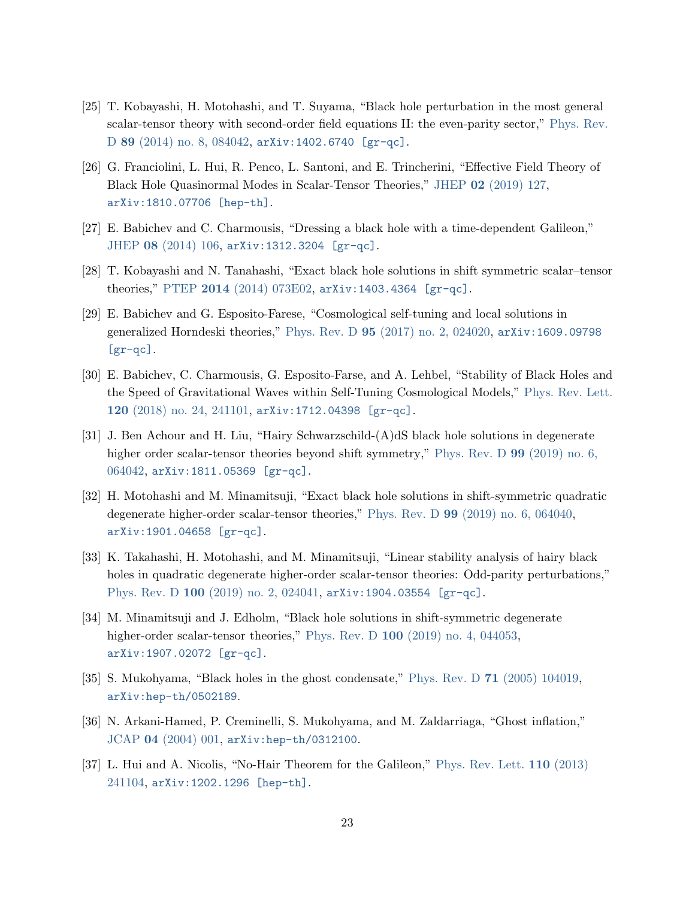- <span id="page-22-0"></span>[25] T. Kobayashi, H. Motohashi, and T. Suyama, "Black hole perturbation in the most general scalar-tensor theory with second-order field equations II: the even-parity sector," [Phys. Rev.](http://dx.doi.org/10.1103/PhysRevD.89.084042) D 89 [\(2014\) no. 8, 084042,](http://dx.doi.org/10.1103/PhysRevD.89.084042) [arXiv:1402.6740 \[gr-qc\]](http://arxiv.org/abs/1402.6740).
- <span id="page-22-1"></span>[26] G. Franciolini, L. Hui, R. Penco, L. Santoni, and E. Trincherini, "Effective Field Theory of Black Hole Quasinormal Modes in Scalar-Tensor Theories," JHEP 02 [\(2019\) 127,](http://dx.doi.org/10.1007/JHEP02(2019)127) [arXiv:1810.07706 \[hep-th\]](http://arxiv.org/abs/1810.07706).
- <span id="page-22-2"></span>[27] E. Babichev and C. Charmousis, "Dressing a black hole with a time-dependent Galileon," JHEP 08 [\(2014\) 106,](http://dx.doi.org/10.1007/JHEP08(2014)106) [arXiv:1312.3204 \[gr-qc\]](http://arxiv.org/abs/1312.3204).
- [28] T. Kobayashi and N. Tanahashi, "Exact black hole solutions in shift symmetric scalar–tensor theories," PTEP 2014 [\(2014\) 073E02,](http://dx.doi.org/10.1093/ptep/ptu096) [arXiv:1403.4364 \[gr-qc\]](http://arxiv.org/abs/1403.4364).
- [29] E. Babichev and G. Esposito-Farese, "Cosmological self-tuning and local solutions in generalized Horndeski theories," Phys. Rev. D 95 [\(2017\) no. 2, 024020,](http://dx.doi.org/10.1103/PhysRevD.95.024020) [arXiv:1609.09798](http://arxiv.org/abs/1609.09798) [\[gr-qc\]](http://arxiv.org/abs/1609.09798).
- <span id="page-22-7"></span>[30] E. Babichev, C. Charmousis, G. Esposito-Farse, and A. Lehbel, "Stability of Black Holes and the Speed of Gravitational Waves within Self-Tuning Cosmological Models," [Phys. Rev. Lett.](http://dx.doi.org/10.1103/PhysRevLett.120.241101) 120 [\(2018\) no. 24, 241101,](http://dx.doi.org/10.1103/PhysRevLett.120.241101) [arXiv:1712.04398 \[gr-qc\]](http://arxiv.org/abs/1712.04398).
- <span id="page-22-8"></span>[31] J. Ben Achour and H. Liu, "Hairy Schwarzschild-(A)dS black hole solutions in degenerate higher order scalar-tensor theories beyond shift symmetry," [Phys. Rev. D](http://dx.doi.org/10.1103/PhysRevD.99.064042) 99 (2019) no. 6, [064042,](http://dx.doi.org/10.1103/PhysRevD.99.064042) [arXiv:1811.05369 \[gr-qc\]](http://arxiv.org/abs/1811.05369).
- <span id="page-22-9"></span>[32] H. Motohashi and M. Minamitsuji, "Exact black hole solutions in shift-symmetric quadratic degenerate higher-order scalar-tensor theories," Phys. Rev. D 99 [\(2019\) no. 6, 064040,](http://dx.doi.org/10.1103/PhysRevD.99.064040) [arXiv:1901.04658 \[gr-qc\]](http://arxiv.org/abs/1901.04658).
- <span id="page-22-10"></span>[33] K. Takahashi, H. Motohashi, and M. Minamitsuji, "Linear stability analysis of hairy black holes in quadratic degenerate higher-order scalar-tensor theories: Odd-parity perturbations," Phys. Rev. D 100 [\(2019\) no. 2, 024041,](http://dx.doi.org/10.1103/PhysRevD.100.024041) [arXiv:1904.03554 \[gr-qc\]](http://arxiv.org/abs/1904.03554).
- <span id="page-22-3"></span>[34] M. Minamitsuji and J. Edholm, "Black hole solutions in shift-symmetric degenerate higher-order scalar-tensor theories," Phys. Rev. D 100 [\(2019\) no. 4, 044053,](http://dx.doi.org/10.1103/PhysRevD.100.044053) [arXiv:1907.02072 \[gr-qc\]](http://arxiv.org/abs/1907.02072).
- <span id="page-22-4"></span>[35] S. Mukohyama, "Black holes in the ghost condensate," Phys. Rev. D 71 [\(2005\) 104019,](http://dx.doi.org/10.1103/PhysRevD.71.104019) [arXiv:hep-th/0502189](http://arxiv.org/abs/hep-th/0502189).
- <span id="page-22-5"></span>[36] N. Arkani-Hamed, P. Creminelli, S. Mukohyama, and M. Zaldarriaga, "Ghost inflation," JCAP 04 [\(2004\) 001,](http://dx.doi.org/10.1088/1475-7516/2004/04/001) [arXiv:hep-th/0312100](http://arxiv.org/abs/hep-th/0312100).
- <span id="page-22-6"></span>[37] L. Hui and A. Nicolis, "No-Hair Theorem for the Galileon," [Phys. Rev. Lett.](http://dx.doi.org/10.1103/PhysRevLett.110.241104) 110 (2013) [241104,](http://dx.doi.org/10.1103/PhysRevLett.110.241104) [arXiv:1202.1296 \[hep-th\]](http://arxiv.org/abs/1202.1296).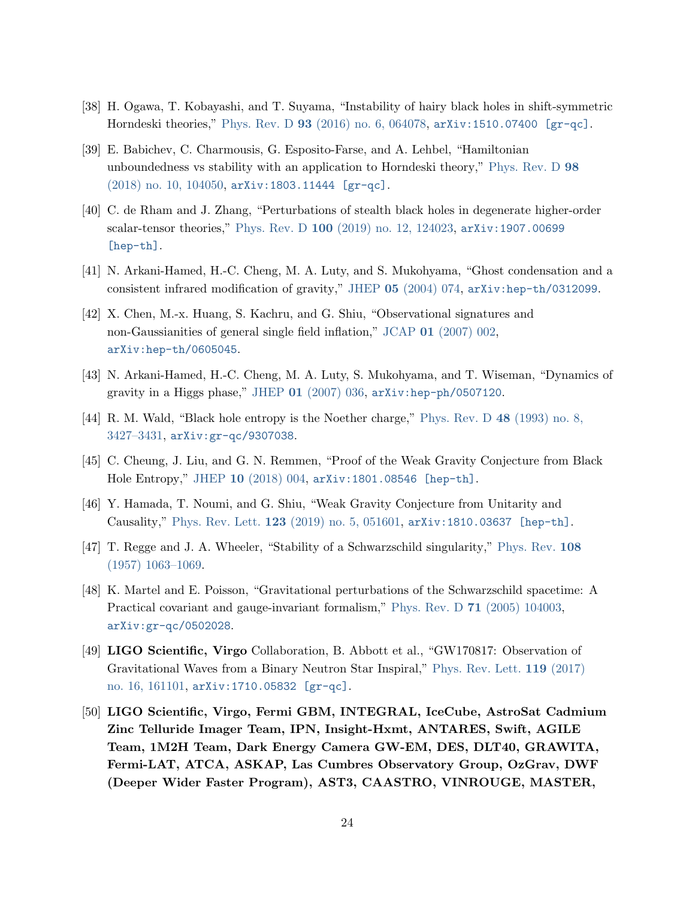- <span id="page-23-0"></span>[38] H. Ogawa, T. Kobayashi, and T. Suyama, "Instability of hairy black holes in shift-symmetric Horndeski theories," Phys. Rev. D 93 [\(2016\) no. 6, 064078,](http://dx.doi.org/10.1103/PhysRevD.93.064078) [arXiv:1510.07400 \[gr-qc\]](http://arxiv.org/abs/1510.07400).
- [39] E. Babichev, C. Charmousis, G. Esposito-Farse, and A. Lehbel, "Hamiltonian unboundedness vs stability with an application to Horndeski theory," [Phys. Rev. D](http://dx.doi.org/10.1103/PhysRevD.98.104050) 98 [\(2018\) no. 10, 104050,](http://dx.doi.org/10.1103/PhysRevD.98.104050) [arXiv:1803.11444 \[gr-qc\]](http://arxiv.org/abs/1803.11444).
- <span id="page-23-1"></span>[40] C. de Rham and J. Zhang, "Perturbations of stealth black holes in degenerate higher-order scalar-tensor theories," Phys. Rev. D 100 [\(2019\) no. 12, 124023,](http://dx.doi.org/10.1103/PhysRevD.100.124023) [arXiv:1907.00699](http://arxiv.org/abs/1907.00699) [\[hep-th\]](http://arxiv.org/abs/1907.00699).
- <span id="page-23-2"></span>[41] N. Arkani-Hamed, H.-C. Cheng, M. A. Luty, and S. Mukohyama, "Ghost condensation and a consistent infrared modification of gravity," JHEP 05 [\(2004\) 074,](http://dx.doi.org/10.1088/1126-6708/2004/05/074) [arXiv:hep-th/0312099](http://arxiv.org/abs/hep-th/0312099).
- <span id="page-23-3"></span>[42] X. Chen, M.-x. Huang, S. Kachru, and G. Shiu, "Observational signatures and non-Gaussianities of general single field inflation," JCAP 01 [\(2007\) 002,](http://dx.doi.org/10.1088/1475-7516/2007/01/002) [arXiv:hep-th/0605045](http://arxiv.org/abs/hep-th/0605045).
- <span id="page-23-4"></span>[43] N. Arkani-Hamed, H.-C. Cheng, M. A. Luty, S. Mukohyama, and T. Wiseman, "Dynamics of gravity in a Higgs phase," JHEP 01 [\(2007\) 036,](http://dx.doi.org/10.1088/1126-6708/2007/01/036) [arXiv:hep-ph/0507120](http://arxiv.org/abs/hep-ph/0507120).
- <span id="page-23-5"></span>[44] R. M. Wald, "Black hole entropy is the Noether charge," [Phys. Rev. D](http://dx.doi.org/10.1103/PhysRevD.48.R3427) 48 (1993) no. 8, [3427–3431,](http://dx.doi.org/10.1103/PhysRevD.48.R3427) [arXiv:gr-qc/9307038](http://arxiv.org/abs/gr-qc/9307038).
- <span id="page-23-6"></span>[45] C. Cheung, J. Liu, and G. N. Remmen, "Proof of the Weak Gravity Conjecture from Black Hole Entropy," JHEP 10 [\(2018\) 004,](http://dx.doi.org/10.1007/JHEP10(2018)004) [arXiv:1801.08546 \[hep-th\]](http://arxiv.org/abs/1801.08546).
- <span id="page-23-7"></span>[46] Y. Hamada, T. Noumi, and G. Shiu, "Weak Gravity Conjecture from Unitarity and Causality," Phys. Rev. Lett. 123 [\(2019\) no. 5, 051601,](http://dx.doi.org/10.1103/PhysRevLett.123.051601) [arXiv:1810.03637 \[hep-th\]](http://arxiv.org/abs/1810.03637).
- <span id="page-23-8"></span>[47] T. Regge and J. A. Wheeler, "Stability of a Schwarzschild singularity," [Phys. Rev.](http://dx.doi.org/10.1103/PhysRev.108.1063) 108 [\(1957\) 1063–1069.](http://dx.doi.org/10.1103/PhysRev.108.1063)
- <span id="page-23-9"></span>[48] K. Martel and E. Poisson, "Gravitational perturbations of the Schwarzschild spacetime: A Practical covariant and gauge-invariant formalism," Phys. Rev. D 71 [\(2005\) 104003,](http://dx.doi.org/10.1103/PhysRevD.71.104003) [arXiv:gr-qc/0502028](http://arxiv.org/abs/gr-qc/0502028).
- <span id="page-23-10"></span>[49] LIGO Scientific, Virgo Collaboration, B. Abbott et al., "GW170817: Observation of Gravitational Waves from a Binary Neutron Star Inspiral," [Phys. Rev. Lett.](http://dx.doi.org/10.1103/PhysRevLett.119.161101) 119 (2017) [no. 16, 161101,](http://dx.doi.org/10.1103/PhysRevLett.119.161101) [arXiv:1710.05832 \[gr-qc\]](http://arxiv.org/abs/1710.05832).
- [50] LIGO Scientific, Virgo, Fermi GBM, INTEGRAL, IceCube, AstroSat Cadmium Zinc Telluride Imager Team, IPN, Insight-Hxmt, ANTARES, Swift, AGILE Team, 1M2H Team, Dark Energy Camera GW-EM, DES, DLT40, GRAWITA, Fermi-LAT, ATCA, ASKAP, Las Cumbres Observatory Group, OzGrav, DWF (Deeper Wider Faster Program), AST3, CAASTRO, VINROUGE, MASTER,